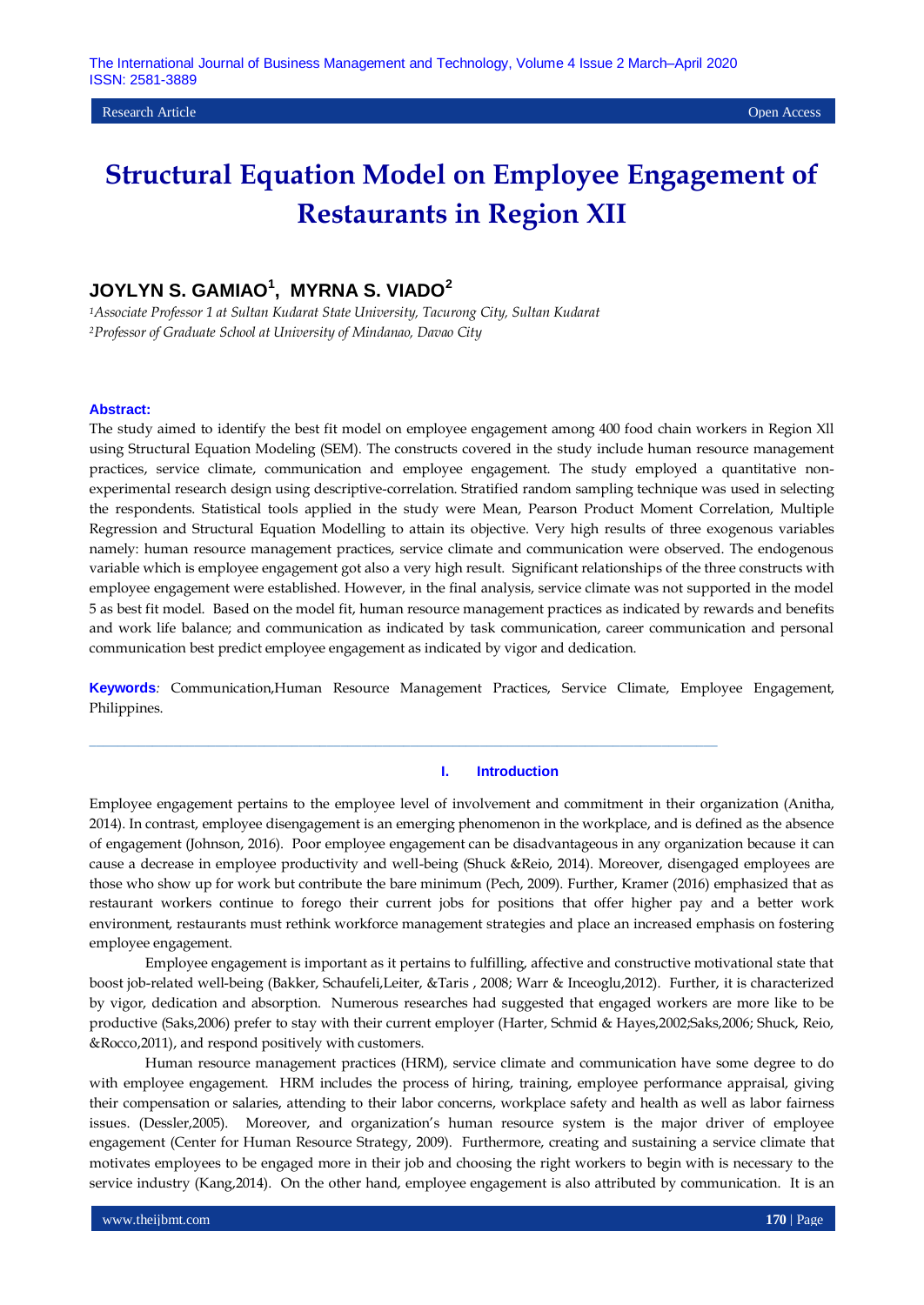#### Research Article Open Access

# **Structural Equation Model on Employee Engagement of Restaurants in Region XII**

## **JOYLYN S. GAMIAO<sup>1</sup> , MYRNA S. VIADO<sup>2</sup>**

*<sup>1</sup>Associate Professor 1 at Sultan Kudarat State University, Tacurong City, Sultan Kudarat <sup>2</sup>Professor of Graduate School at University of Mindanao, Davao City*

#### **Abstract:**

The study aimed to identify the best fit model on employee engagement among 400 food chain workers in Region Xll using Structural Equation Modeling (SEM). The constructs covered in the study include human resource management practices, service climate, communication and employee engagement. The study employed a quantitative nonexperimental research design using descriptive-correlation. Stratified random sampling technique was used in selecting the respondents. Statistical tools applied in the study were Mean, Pearson Product Moment Correlation, Multiple Regression and Structural Equation Modelling to attain its objective. Very high results of three exogenous variables namely: human resource management practices, service climate and communication were observed. The endogenous variable which is employee engagement got also a very high result. Significant relationships of the three constructs with employee engagement were established. However, in the final analysis, service climate was not supported in the model 5 as best fit model. Based on the model fit, human resource management practices as indicated by rewards and benefits and work life balance; and communication as indicated by task communication, career communication and personal communication best predict employee engagement as indicated by vigor and dedication.

**Keywords***:* Communication,Human Resource Management Practices, Service Climate, Employee Engagement, Philippines.

 $\_$  , and the set of the set of the set of the set of the set of the set of the set of the set of the set of the set of the set of the set of the set of the set of the set of the set of the set of the set of the set of th

### **I. Introduction**

Employee engagement pertains to the employee level of involvement and commitment in their organization (Anitha, 2014). In contrast, employee disengagement is an emerging phenomenon in the workplace, and is defined as the absence of engagement (Johnson, 2016). Poor employee engagement can be disadvantageous in any organization because it can cause a decrease in employee productivity and well-being (Shuck &Reio, 2014). Moreover, disengaged employees are those who show up for work but contribute the bare minimum (Pech, 2009). Further, Kramer (2016) emphasized that as restaurant workers continue to forego their current jobs for positions that offer higher pay and a better work environment, restaurants must rethink workforce management strategies and place an increased emphasis on fostering employee engagement.

Employee engagement is important as it pertains to fulfilling, affective and constructive motivational state that boost job-related well-being (Bakker, Schaufeli,Leiter, &Taris , 2008; Warr & Inceoglu,2012). Further, it is characterized by vigor, dedication and absorption. Numerous researches had suggested that engaged workers are more like to be productive (Saks,2006) prefer to stay with their current employer (Harter, Schmid & Hayes,2002;Saks,2006; Shuck, Reio, &Rocco,2011), and respond positively with customers.

Human resource management practices (HRM), service climate and communication have some degree to do with employee engagement. HRM includes the process of hiring, training, employee performance appraisal, giving their compensation or salaries, attending to their labor concerns, workplace safety and health as well as labor fairness issues. (Dessler,2005). Moreover, and organization's human resource system is the major driver of employee engagement (Center for Human Resource Strategy, 2009). Furthermore, creating and sustaining a service climate that motivates employees to be engaged more in their job and choosing the right workers to begin with is necessary to the service industry (Kang,2014). On the other hand, employee engagement is also attributed by communication. It is an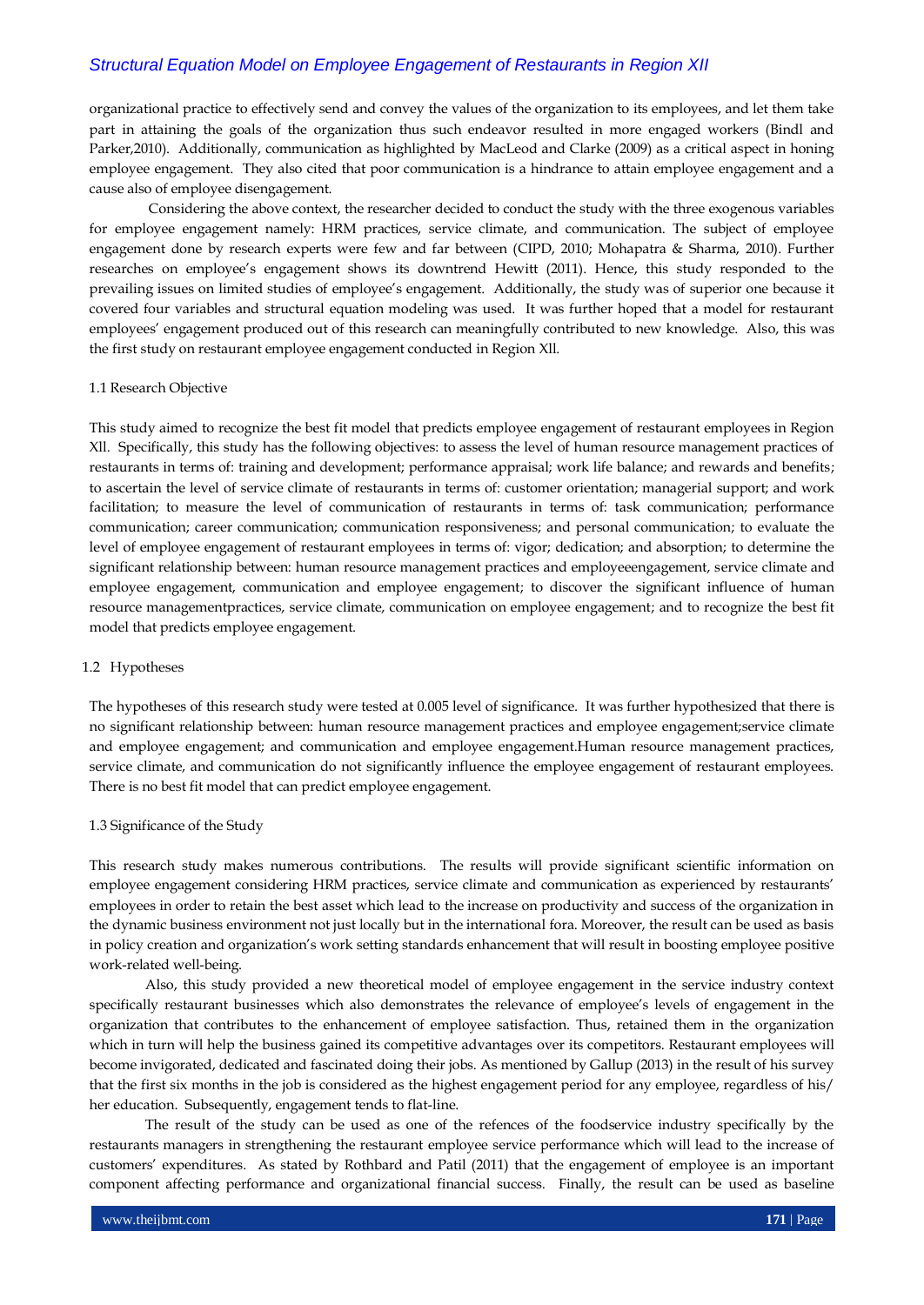organizational practice to effectively send and convey the values of the organization to its employees, and let them take part in attaining the goals of the organization thus such endeavor resulted in more engaged workers (Bindl and Parker,2010). Additionally, communication as highlighted by MacLeod and Clarke (2009) as a critical aspect in honing employee engagement. They also cited that poor communication is a hindrance to attain employee engagement and a cause also of employee disengagement.

Considering the above context, the researcher decided to conduct the study with the three exogenous variables for employee engagement namely: HRM practices, service climate, and communication. The subject of employee engagement done by research experts were few and far between (CIPD, 2010; Mohapatra & Sharma, 2010). Further researches on employee's engagement shows its downtrend Hewitt (2011). Hence, this study responded to the prevailing issues on limited studies of employee's engagement. Additionally, the study was of superior one because it covered four variables and structural equation modeling was used. It was further hoped that a model for restaurant employees' engagement produced out of this research can meaningfully contributed to new knowledge. Also, this was the first study on restaurant employee engagement conducted in Region Xll.

### 1.1 Research Objective

This study aimed to recognize the best fit model that predicts employee engagement of restaurant employees in Region Xll. Specifically, this study has the following objectives: to assess the level of human resource management practices of restaurants in terms of: training and development; performance appraisal; work life balance; and rewards and benefits; to ascertain the level of service climate of restaurants in terms of: customer orientation; managerial support; and work facilitation; to measure the level of communication of restaurants in terms of: task communication; performance communication; career communication; communication responsiveness; and personal communication; to evaluate the level of employee engagement of restaurant employees in terms of: vigor; dedication; and absorption; to determine the significant relationship between: human resource management practices and employeeengagement, service climate and employee engagement, communication and employee engagement; to discover the significant influence of human resource managementpractices, service climate, communication on employee engagement; and to recognize the best fit model that predicts employee engagement.

### 1.2 Hypotheses

The hypotheses of this research study were tested at 0.005 level of significance. It was further hypothesized that there is no significant relationship between: human resource management practices and employee engagement;service climate and employee engagement; and communication and employee engagement.Human resource management practices, service climate, and communication do not significantly influence the employee engagement of restaurant employees. There is no best fit model that can predict employee engagement.

#### 1.3 Significance of the Study

This research study makes numerous contributions. The results will provide significant scientific information on employee engagement considering HRM practices, service climate and communication as experienced by restaurants' employees in order to retain the best asset which lead to the increase on productivity and success of the organization in the dynamic business environment not just locally but in the international fora. Moreover, the result can be used as basis in policy creation and organization's work setting standards enhancement that will result in boosting employee positive work-related well-being.

Also, this study provided a new theoretical model of employee engagement in the service industry context specifically restaurant businesses which also demonstrates the relevance of employee's levels of engagement in the organization that contributes to the enhancement of employee satisfaction. Thus, retained them in the organization which in turn will help the business gained its competitive advantages over its competitors. Restaurant employees will become invigorated, dedicated and fascinated doing their jobs. As mentioned by Gallup (2013) in the result of his survey that the first six months in the job is considered as the highest engagement period for any employee, regardless of his/ her education. Subsequently, engagement tends to flat-line.

The result of the study can be used as one of the refences of the foodservice industry specifically by the restaurants managers in strengthening the restaurant employee service performance which will lead to the increase of customers' expenditures. As stated by Rothbard and Patil (2011) that the engagement of employee is an important component affecting performance and organizational financial success. Finally, the result can be used as baseline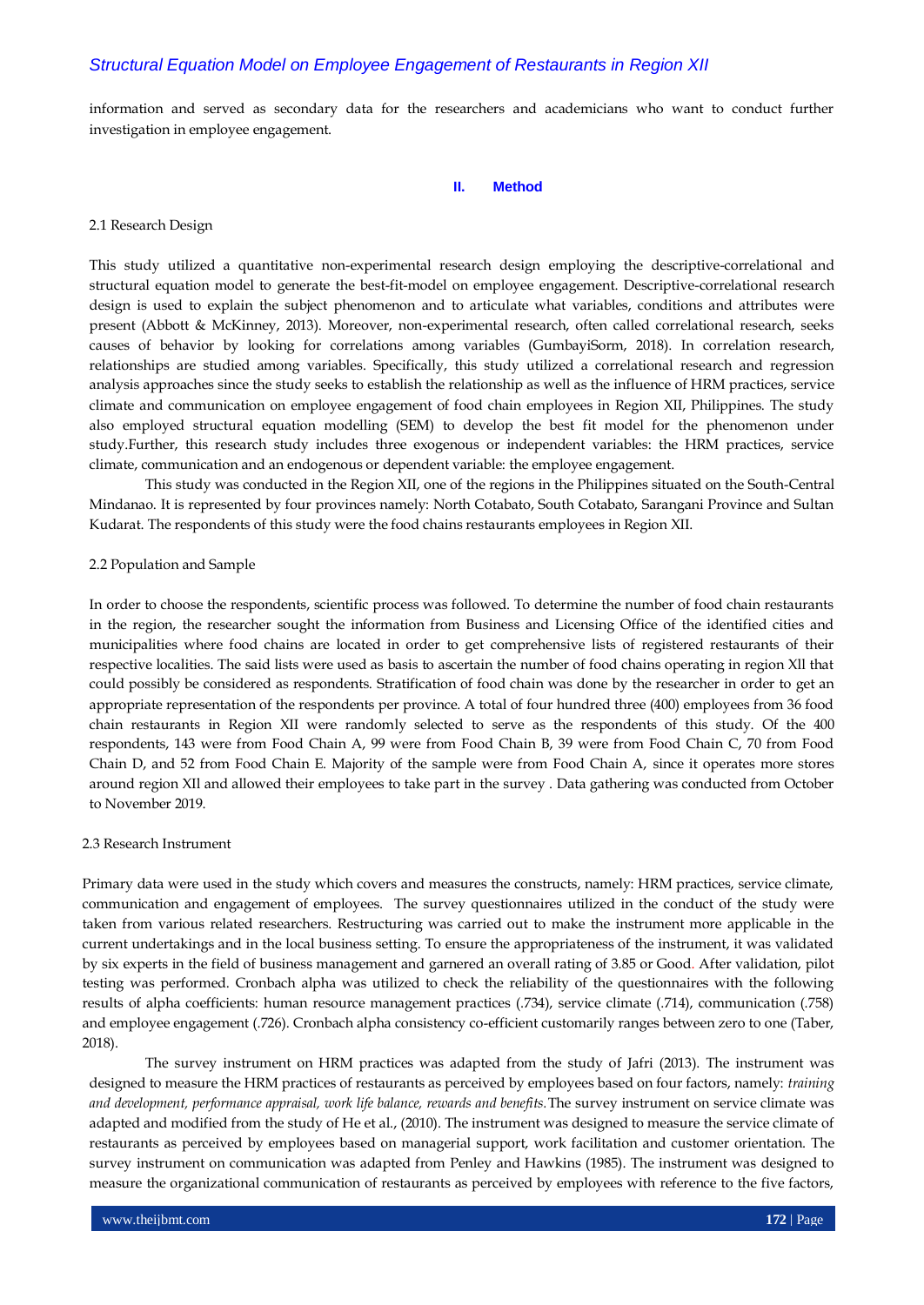information and served as secondary data for the researchers and academicians who want to conduct further investigation in employee engagement.

### **II. Method**

#### 2.1 Research Design

This study utilized a quantitative non-experimental research design employing the descriptive-correlational and structural equation model to generate the best-fit-model on employee engagement. Descriptive-correlational research design is used to explain the subject phenomenon and to articulate what variables, conditions and attributes were present (Abbott & McKinney, 2013). Moreover, non-experimental research, often called correlational research, seeks causes of behavior by looking for correlations among variables (GumbayiSorm, 2018). In correlation research, relationships are studied among variables. Specifically, this study utilized a correlational research and regression analysis approaches since the study seeks to establish the relationship as well as the influence of HRM practices, service climate and communication on employee engagement of food chain employees in Region XII, Philippines. The study also employed structural equation modelling (SEM) to develop the best fit model for the phenomenon under study.Further, this research study includes three exogenous or independent variables: the HRM practices, service climate, communication and an endogenous or dependent variable: the employee engagement.

This study was conducted in the Region XII, one of the regions in the Philippines situated on the South-Central Mindanao. It is represented by four provinces namely: North Cotabato, South Cotabato, Sarangani Province and Sultan Kudarat. The respondents of this study were the food chains restaurants employees in Region XII.

#### 2.2 Population and Sample

In order to choose the respondents, scientific process was followed. To determine the number of food chain restaurants in the region, the researcher sought the information from Business and Licensing Office of the identified cities and municipalities where food chains are located in order to get comprehensive lists of registered restaurants of their respective localities. The said lists were used as basis to ascertain the number of food chains operating in region Xll that could possibly be considered as respondents. Stratification of food chain was done by the researcher in order to get an appropriate representation of the respondents per province. A total of four hundred three (400) employees from 36 food chain restaurants in Region XII were randomly selected to serve as the respondents of this study. Of the 400 respondents, 143 were from Food Chain A, 99 were from Food Chain B, 39 were from Food Chain C, 70 from Food Chain D, and 52 from Food Chain E. Majority of the sample were from Food Chain A, since it operates more stores around region XIl and allowed their employees to take part in the survey . Data gathering was conducted from October to November 2019.

#### 2.3 Research Instrument

Primary data were used in the study which covers and measures the constructs, namely: HRM practices, service climate, communication and engagement of employees. The survey questionnaires utilized in the conduct of the study were taken from various related researchers. Restructuring was carried out to make the instrument more applicable in the current undertakings and in the local business setting. To ensure the appropriateness of the instrument, it was validated by six experts in the field of business management and garnered an overall rating of 3.85 or Good. After validation, pilot testing was performed. Cronbach alpha was utilized to check the reliability of the questionnaires with the following results of alpha coefficients: human resource management practices (.734), service climate (.714), communication (.758) and employee engagement (.726). Cronbach alpha consistency co-efficient customarily ranges between zero to one (Taber, 2018).

The survey instrument on HRM practices was adapted from the study of Jafri (2013). The instrument was designed to measure the HRM practices of restaurants as perceived by employees based on four factors, namely: *training and development, performance appraisal, work life balance, rewards and benefits.*The survey instrument on service climate was adapted and modified from the study of He et al., (2010). The instrument was designed to measure the service climate of restaurants as perceived by employees based on managerial support, work facilitation and customer orientation. The survey instrument on communication was adapted from Penley and Hawkins (1985). The instrument was designed to measure the organizational communication of restaurants as perceived by employees with reference to the five factors,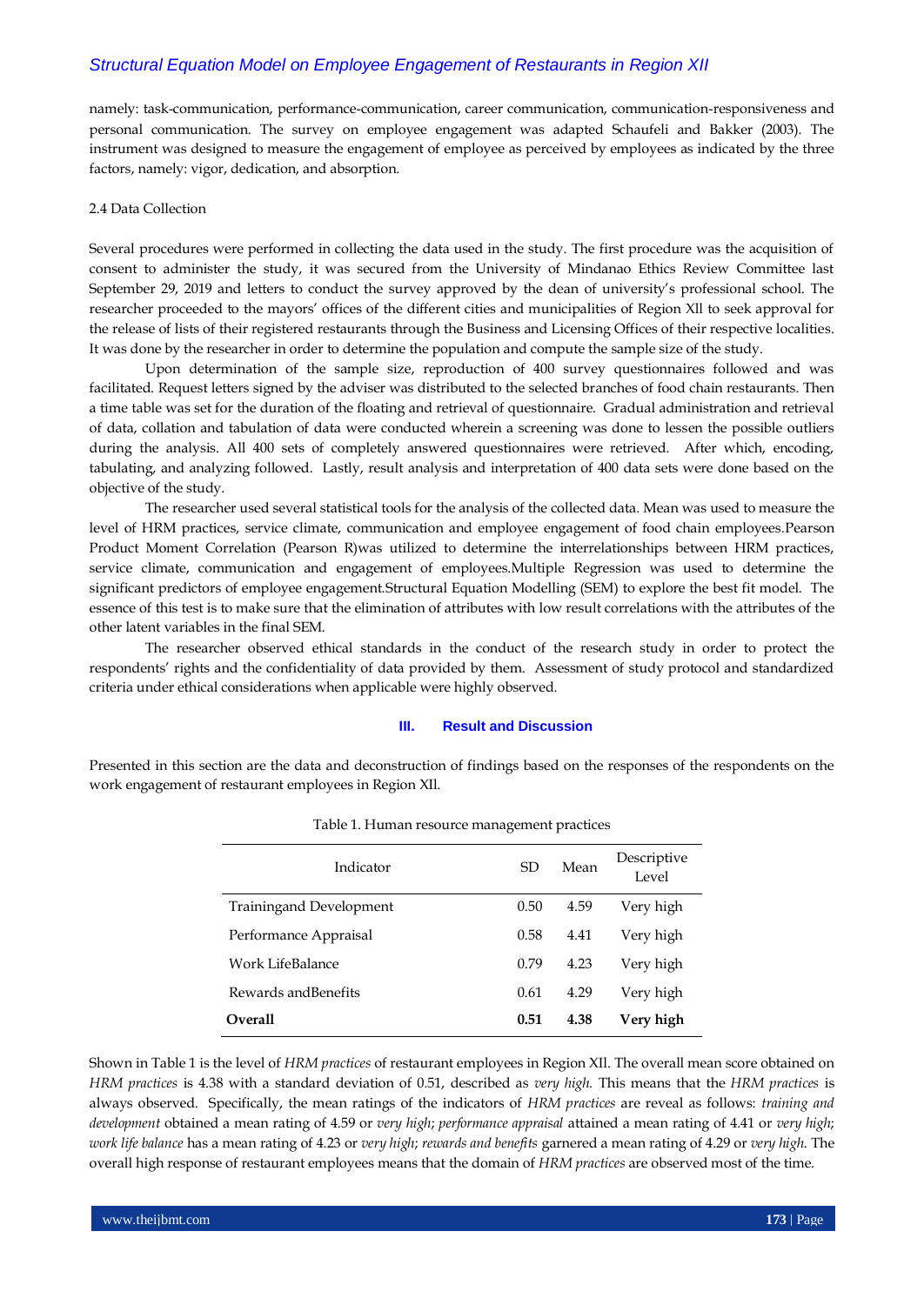namely: task-communication, performance-communication, career communication, communication-responsiveness and personal communication. The survey on employee engagement was adapted Schaufeli and Bakker (2003). The instrument was designed to measure the engagement of employee as perceived by employees as indicated by the three factors, namely: vigor, dedication, and absorption.

#### 2.4 Data Collection

Several procedures were performed in collecting the data used in the study. The first procedure was the acquisition of consent to administer the study, it was secured from the University of Mindanao Ethics Review Committee last September 29, 2019 and letters to conduct the survey approved by the dean of university's professional school. The researcher proceeded to the mayors' offices of the different cities and municipalities of Region Xll to seek approval for the release of lists of their registered restaurants through the Business and Licensing Offices of their respective localities. It was done by the researcher in order to determine the population and compute the sample size of the study.

Upon determination of the sample size, reproduction of 400 survey questionnaires followed and was facilitated. Request letters signed by the adviser was distributed to the selected branches of food chain restaurants. Then a time table was set for the duration of the floating and retrieval of questionnaire. Gradual administration and retrieval of data, collation and tabulation of data were conducted wherein a screening was done to lessen the possible outliers during the analysis. All 400 sets of completely answered questionnaires were retrieved. After which, encoding, tabulating, and analyzing followed. Lastly, result analysis and interpretation of 400 data sets were done based on the objective of the study.

The researcher used several statistical tools for the analysis of the collected data. Mean was used to measure the level of HRM practices, service climate, communication and employee engagement of food chain employees.Pearson Product Moment Correlation (Pearson R)was utilized to determine the interrelationships between HRM practices, service climate, communication and engagement of employees.Multiple Regression was used to determine the significant predictors of employee engagement.Structural Equation Modelling (SEM) to explore the best fit model. The essence of this test is to make sure that the elimination of attributes with low result correlations with the attributes of the other latent variables in the final SEM.

The researcher observed ethical standards in the conduct of the research study in order to protect the respondents' rights and the confidentiality of data provided by them. Assessment of study protocol and standardized criteria under ethical considerations when applicable were highly observed.

#### **III. Result and Discussion**

Presented in this section are the data and deconstruction of findings based on the responses of the respondents on the work engagement of restaurant employees in Region XIl.

| Indicator                      | SD.  | Mean | Descriptive<br>Level |
|--------------------------------|------|------|----------------------|
| <b>Trainingand Development</b> | 0.50 | 4.59 | Very high            |
| Performance Appraisal          | 0.58 | 4.41 | Very high            |
| Work LifeBalance               | 0.79 | 4.23 | Very high            |
| Rewards and Benefits           | 0.61 | 4.29 | Very high            |
| <b>Overall</b>                 | 0.51 | 4.38 | Very high            |

#### Table 1. Human resource management practices

Shown in Table 1 is the level of *HRM practices* of restaurant employees in Region XIl. The overall mean score obtained on *HRM practices* is 4.38 with a standard deviation of 0.51, described as *very high.* This means that the *HRM practices* is always observed. Specifically, the mean ratings of the indicators of *HRM practices* are reveal as follows: *training and development* obtained a mean rating of 4.59 or *very high*; *performance appraisal* attained a mean rating of 4.41 or *very high*; *work life balance* has a mean rating of 4.23 or *very high*; *rewards and benefits* garnered a mean rating of 4.29 or *very high*. The overall high response of restaurant employees means that the domain of *HRM practices* are observed most of the time.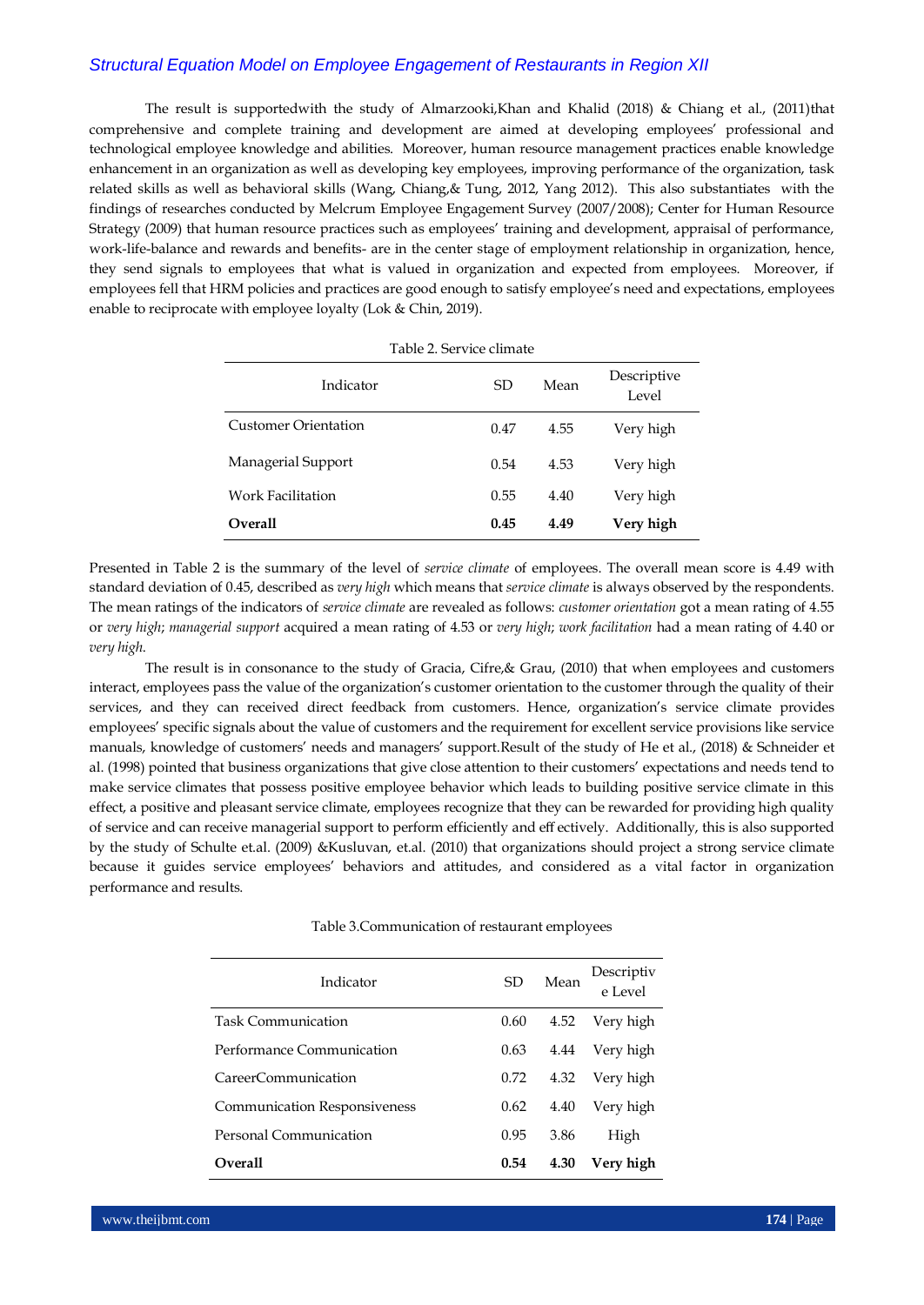The result is supportedwith the study of Almarzooki,Khan and Khalid (2018) & Chiang et al., (2011)that comprehensive and complete training and development are aimed at developing employees' professional and technological employee knowledge and abilities. Moreover, human resource management practices enable knowledge enhancement in an organization as well as developing key employees, improving performance of the organization, task related skills as well as behavioral skills (Wang, Chiang,& Tung, 2012, Yang 2012). This also substantiates with the findings of researches conducted by Melcrum Employee Engagement Survey (2007/2008); Center for Human Resource Strategy (2009) that human resource practices such as employees' training and development, appraisal of performance, work-life-balance and rewards and benefits- are in the center stage of employment relationship in organization, hence, they send signals to employees that what is valued in organization and expected from employees. Moreover, if employees fell that HRM policies and practices are good enough to satisfy employee's need and expectations, employees enable to reciprocate with employee loyalty (Lok & Chin, 2019).

| Table 2. Service climate    |      |      |                      |  |  |  |
|-----------------------------|------|------|----------------------|--|--|--|
| Indicator                   | SD.  | Mean | Descriptive<br>Level |  |  |  |
| <b>Customer Orientation</b> | 0.47 | 4.55 | Very high            |  |  |  |
| Managerial Support          | 0.54 | 4.53 | Very high            |  |  |  |
| Work Facilitation           | 0.55 | 4.40 | Very high            |  |  |  |
| <b>Overall</b>              | 0.45 | 4.49 | Very high            |  |  |  |

Presented in Table 2 is the summary of the level of *service climate* of employees. The overall mean score is 4.49 with standard deviation of 0.45, described as *very high* which means that *service climate* is always observed by the respondents. The mean ratings of the indicators of *service climate* are revealed as follows: *customer orientation* got a mean rating of 4.55 or *very high*; *managerial support* acquired a mean rating of 4.53 or *very high*; *work facilitation* had a mean rating of 4.40 or *very high*.

The result is in consonance to the study of Gracia, Cifre,& Grau, (2010) that when employees and customers interact, employees pass the value of the organization's customer orientation to the customer through the quality of their services, and they can received direct feedback from customers. Hence, organization's service climate provides employees' specific signals about the value of customers and the requirement for excellent service provisions like service manuals, knowledge of customers' needs and managers' support.Result of the study of He et al., (2018) & Schneider et al. (1998) pointed that business organizations that give close attention to their customers' expectations and needs tend to make service climates that possess positive employee behavior which leads to building positive service climate in this effect, a positive and pleasant service climate, employees recognize that they can be rewarded for providing high quality of service and can receive managerial support to perform efficiently and eff ectively. Additionally, this is also supported by the study of Schulte et.al. (2009) &Kusluvan, et.al. (2010) that organizations should project a strong service climate because it guides service employees' behaviors and attitudes, and considered as a vital factor in organization performance and results.

Table 3.Communication of restaurant employees

| Indicator                           | SD   | Mean | Descriptiv<br>e Level |
|-------------------------------------|------|------|-----------------------|
| <b>Task Communication</b>           | 0.60 | 4.52 | Very high             |
| Performance Communication           | 0.63 | 4.44 | Very high             |
| CareerCommunication                 | 0.72 | 4.32 | Very high             |
| <b>Communication Responsiveness</b> | 0.62 | 4.40 | Very high             |
| <b>Personal Communication</b>       | 0.95 | 3.86 | High                  |
| <b>Overall</b>                      | 0.54 | 4.30 | Very high             |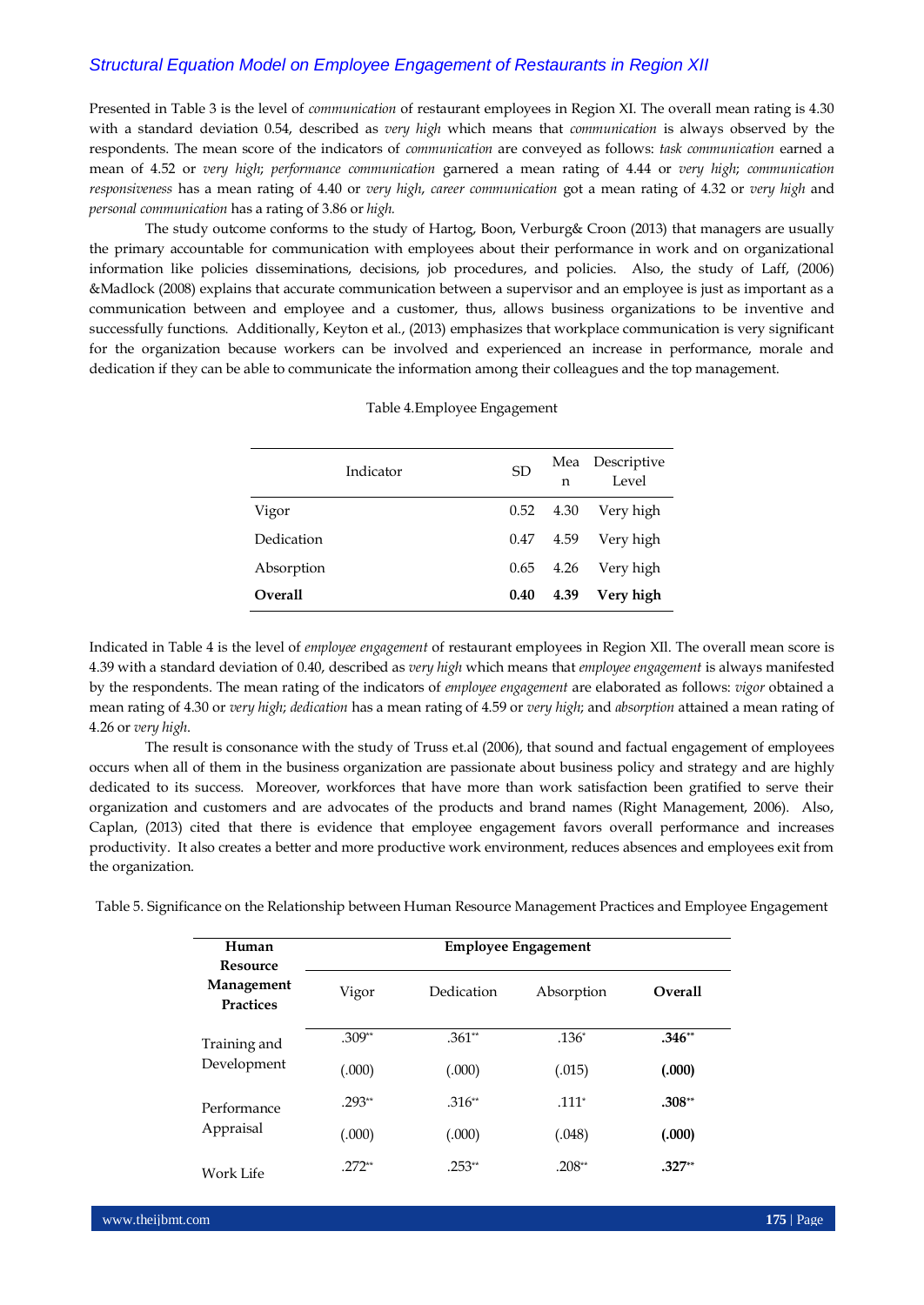Presented in Table 3 is the level of *communication* of restaurant employees in Region XI. The overall mean rating is 4.30 with a standard deviation 0.54, described as *very high* which means that *communication* is always observed by the respondents. The mean score of the indicators of *communication* are conveyed as follows: *task communication* earned a mean of 4.52 or *very high*; *performance communication* garnered a mean rating of 4.44 or *very high*; *communication responsiveness* has a mean rating of 4.40 or *very high*, *career communication* got a mean rating of 4.32 or *very high* and *personal communication* has a rating of 3.86 or *high.*

The study outcome conforms to the study of Hartog, Boon, Verburg& Croon (2013) that managers are usually the primary accountable for communication with employees about their performance in work and on organizational information like policies disseminations, decisions, job procedures, and policies. Also, the study of Laff, (2006) &Madlock (2008) explains that accurate communication between a supervisor and an employee is just as important as a communication between and employee and a customer, thus, allows business organizations to be inventive and successfully functions. Additionally, Keyton et al., (2013) emphasizes that workplace communication is very significant for the organization because workers can be involved and experienced an increase in performance, morale and dedication if they can be able to communicate the information among their colleagues and the top management.

|                | Indicator | <b>SD</b>   | n    | Mea Descriptive<br>Level |
|----------------|-----------|-------------|------|--------------------------|
| Vigor          |           | $0.52$ 4.30 |      | Very high                |
| Dedication     |           | 0.47 4.59   |      | Very high                |
| Absorption     |           | 0.65        | 4.26 | Very high                |
| <b>Overall</b> |           | 0.40        | 4.39 | Very high                |

#### Table 4.Employee Engagement

Indicated in Table 4 is the level of *employee engagement* of restaurant employees in Region XIl. The overall mean score is 4.39 with a standard deviation of 0.40, described as *very high* which means that *employee engagement* is always manifested by the respondents. The mean rating of the indicators of *employee engagement* are elaborated as follows: *vigor* obtained a mean rating of 4.30 or *very high*; *dedication* has a mean rating of 4.59 or *very high*; and *absorption* attained a mean rating of 4.26 or *very high*.

The result is consonance with the study of Truss et.al (2006), that sound and factual engagement of employees occurs when all of them in the business organization are passionate about business policy and strategy and are highly dedicated to its success. Moreover, workforces that have more than work satisfaction been gratified to serve their organization and customers and are advocates of the products and brand names (Right Management, 2006). Also, Caplan, (2013) cited that there is evidence that employee engagement favors overall performance and increases productivity. It also creates a better and more productive work environment, reduces absences and employees exit from the organization.

Table 5. Significance on the Relationship between Human Resource Management Practices and Employee Engagement

| Human<br><b>Resource</b>       | <b>Employee Engagement</b> |            |            |                |  |  |  |  |
|--------------------------------|----------------------------|------------|------------|----------------|--|--|--|--|
| Management<br><b>Practices</b> | Vigor                      | Dedication | Absorption | <b>Overall</b> |  |  |  |  |
| Training and                   | $.309**$                   | $.361**$   | $.136*$    | $.346**$       |  |  |  |  |
| Development                    | (.000)                     | (.000)     | (.015)     | (.000)         |  |  |  |  |
| Performance                    | $.293**$                   | $.316**$   | $.111*$    | $.308**$       |  |  |  |  |
| Appraisal                      | (.000)                     | (.000)     | (.048)     | (.000)         |  |  |  |  |
| Work Life                      | $.272**$                   | $.253**$   | $.208**$   | $.327**$       |  |  |  |  |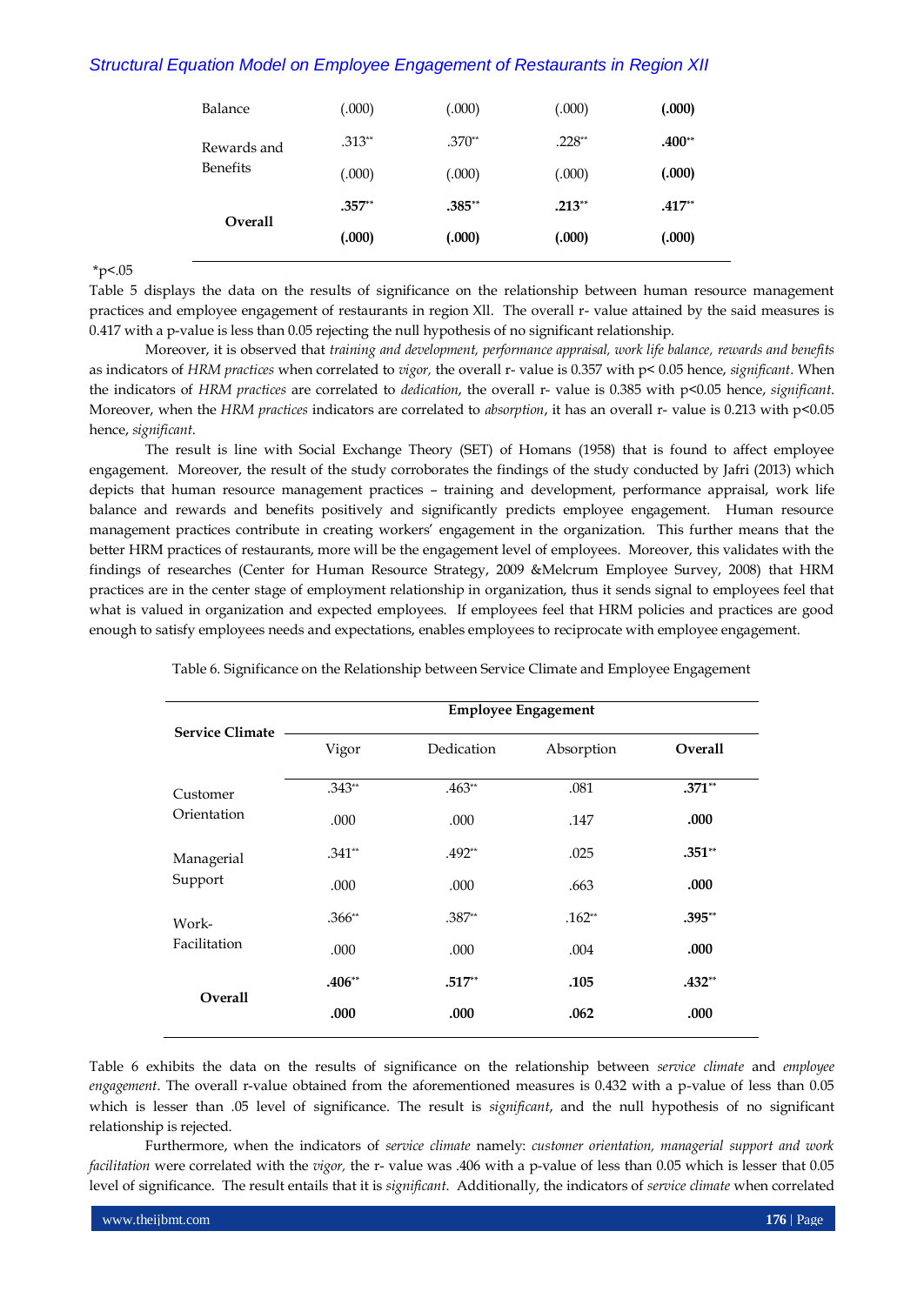| Balance                                          | (.000)   | (.000)   | (.000)   | (.000)   |
|--------------------------------------------------|----------|----------|----------|----------|
| Rewards and<br><b>Benefits</b><br><b>Overall</b> | $.313**$ | $.370**$ | $.228**$ | $.400**$ |
|                                                  | (.000)   | (.000)   | (.000)   | (.000)   |
|                                                  | $.357**$ | $.385**$ | $.213**$ | $.417**$ |
|                                                  | (.000)   | (.000)   | (.000)   | (.000)   |
|                                                  |          |          |          |          |

 $*_{p<.05}$ 

Table 5 displays the data on the results of significance on the relationship between human resource management practices and employee engagement of restaurants in region Xll. The overall r- value attained by the said measures is 0.417 with a p-value is less than 0.05 rejecting the null hypothesis of no significant relationship.

Moreover, it is observed that *training and development, performance appraisal, work life balance, rewards and benefits* as indicators of *HRM practices* when correlated to *vigor,* the overall r- value is 0.357 with p< 0.05 hence, *significant*. When the indicators of *HRM practices* are correlated to *dedication*, the overall r- value is 0.385 with p<0.05 hence, *significant*. Moreover, when the *HRM practices* indicators are correlated to *absorption*, it has an overall r- value is 0.213 with p<0.05 hence, *significant*.

The result is line with Social Exchange Theory (SET) of Homans (1958) that is found to affect employee engagement. Moreover, the result of the study corroborates the findings of the study conducted by Jafri (2013) which depicts that human resource management practices – training and development, performance appraisal, work life balance and rewards and benefits positively and significantly predicts employee engagement. Human resource management practices contribute in creating workers' engagement in the organization. This further means that the better HRM practices of restaurants, more will be the engagement level of employees. Moreover, this validates with the findings of researches (Center for Human Resource Strategy, 2009 &Melcrum Employee Survey, 2008) that HRM practices are in the center stage of employment relationship in organization, thus it sends signal to employees feel that what is valued in organization and expected employees. If employees feel that HRM policies and practices are good enough to satisfy employees needs and expectations, enables employees to reciprocate with employee engagement.

|                        |          |            | <b>Employee Engagement</b> |          |
|------------------------|----------|------------|----------------------------|----------|
| <b>Service Climate</b> | Vigor    | Dedication | Absorption                 | Overall  |
| Customer               | $.343**$ | $.463**$   | .081                       | $.371**$ |
| Orientation            | .000     | .000       | .147                       | .000     |
| Managerial             | $.341**$ | $.492**$   | .025                       | $.351**$ |
| Support                | .000     | .000       | .663                       | .000     |
| Work-                  | $.366**$ | $.387**$   | $.162**$                   | $.395**$ |
| Facilitation           | .000     | .000       | .004                       | .000     |
| <b>Overall</b>         | $.406**$ | $.517**$   | .105                       | $.432**$ |
|                        | .000     | .000       | .062                       | .000     |

Table 6. Significance on the Relationship between Service Climate and Employee Engagement

Table 6 exhibits the data on the results of significance on the relationship between *service climate* and *employee engagement*. The overall r-value obtained from the aforementioned measures is 0.432 with a p-value of less than 0.05 which is lesser than .05 level of significance. The result is *significant*, and the null hypothesis of no significant relationship is rejected.

Furthermore, when the indicators of *service climate* namely: *customer orientation, managerial support and work facilitation* were correlated with the *vigor,* the r- value was .406 with a p-value of less than 0.05 which is lesser that 0.05 level of significance. The result entails that it is *significant*. Additionally, the indicators of *service climate* when correlated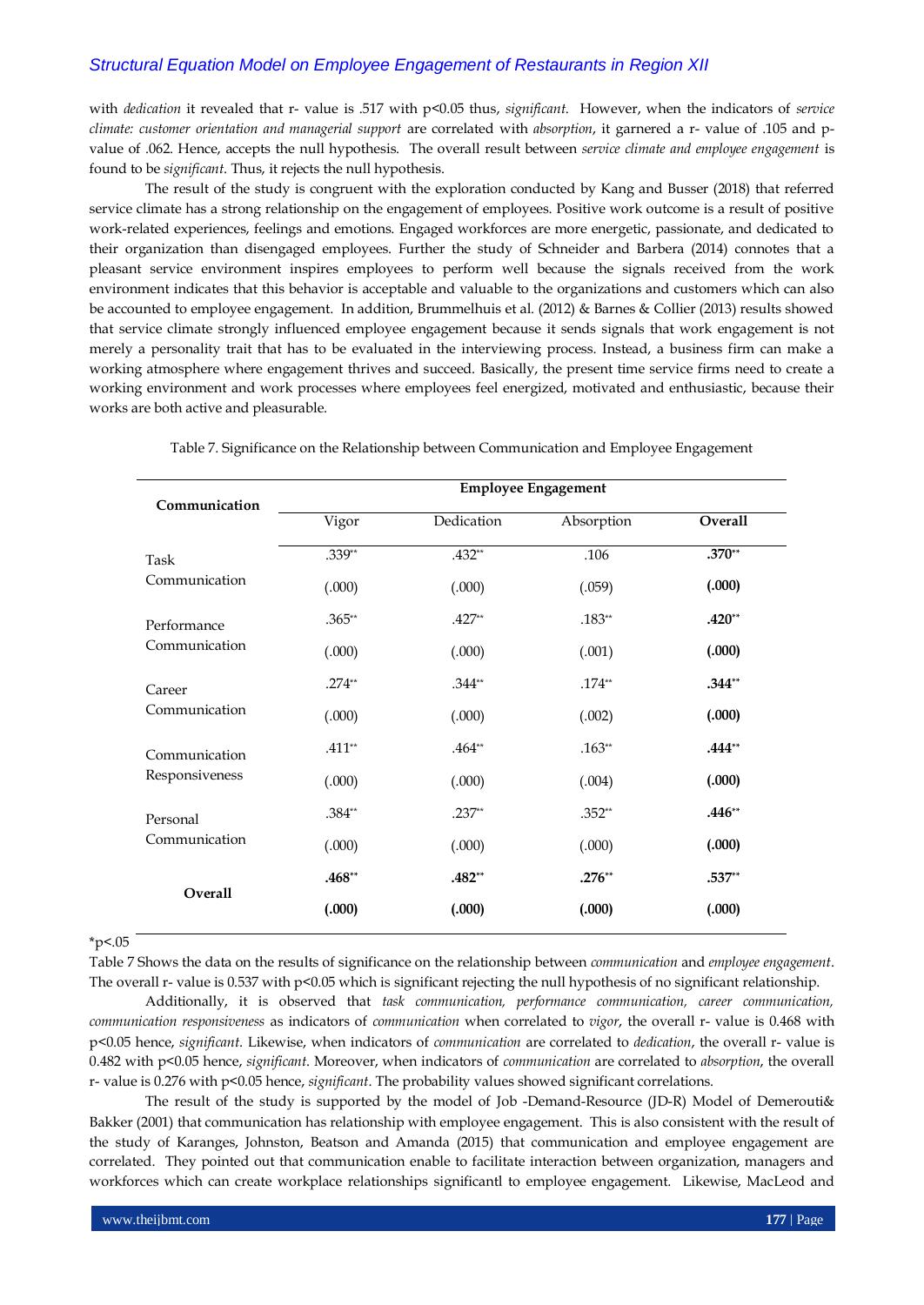with *dedication* it revealed that r- value is .517 with p<0.05 thus, *significant*. However, when the indicators of *service climate: customer orientation and managerial support* are correlated with *absorption*, it garnered a r- value of .105 and pvalue of .062. Hence, accepts the null hypothesis. The overall result between *service climate and employee engagement* is found to be *significant*. Thus, it rejects the null hypothesis.

The result of the study is congruent with the exploration conducted by Kang and Busser (2018) that referred service climate has a strong relationship on the engagement of employees. Positive work outcome is a result of positive work-related experiences, feelings and emotions. Engaged workforces are more energetic, passionate, and dedicated to their organization than disengaged employees. Further the study of Schneider and Barbera (2014) connotes that a pleasant service environment inspires employees to perform well because the signals received from the work environment indicates that this behavior is acceptable and valuable to the organizations and customers which can also be accounted to employee engagement. In addition, Brummelhuis et al. (2012) & Barnes & Collier (2013) results showed that service climate strongly influenced employee engagement because it sends signals that work engagement is not merely a personality trait that has to be evaluated in the interviewing process. Instead, a business firm can make a working atmosphere where engagement thrives and succeed. Basically, the present time service firms need to create a working environment and work processes where employees feel energized, motivated and enthusiastic, because their works are both active and pleasurable.

| Communication                |          | <b>Employee Engagement</b> |            |          |  |  |  |  |  |
|------------------------------|----------|----------------------------|------------|----------|--|--|--|--|--|
|                              | Vigor    | Dedication                 | Absorption | Overall  |  |  |  |  |  |
| Task                         | $.339**$ | $.432**$                   | .106       | $.370**$ |  |  |  |  |  |
| Communication                | (.000)   | (.000)                     | (.059)     | (.000)   |  |  |  |  |  |
| Performance<br>Communication | $.365**$ | $.427**$                   | $.183**$   | $.420**$ |  |  |  |  |  |
|                              | (.000)   | (.000)                     | (.001)     | (.000)   |  |  |  |  |  |
| Career                       | $.274**$ | $.344**$                   | $.174**$   | $.344**$ |  |  |  |  |  |
| Communication                | (.000)   | (.000)                     | (.002)     | (.000)   |  |  |  |  |  |
| Communication                | $.411**$ | $.464**$                   | $.163**$   | $.444**$ |  |  |  |  |  |
| Responsiveness               | (.000)   | (.000)                     | (.004)     | (.000)   |  |  |  |  |  |
| Personal                     | $.384**$ | $.237**$                   | $.352**$   | $.446**$ |  |  |  |  |  |
| Communication                | (.000)   | (.000)                     | (.000)     | (.000)   |  |  |  |  |  |
|                              | $.468**$ | $.482**$                   | $.276**$   | $.537**$ |  |  |  |  |  |
| Overall                      | (.000)   | (.000)                     | (.000)     | (.000)   |  |  |  |  |  |

Table 7. Significance on the Relationship between Communication and Employee Engagement

 $*_{p<.05}$ 

Table 7 Shows the data on the results of significance on the relationship between *communication* and *employee engagement*. The overall r- value is 0.537 with p<0.05 which is significant rejecting the null hypothesis of no significant relationship.

Additionally, it is observed that *task communication, performance communication, career communication, communication responsiveness* as indicators of *communication* when correlated to *vigor*, the overall r- value is 0.468 with p<0.05 hence, *significant*. Likewise, when indicators of *communication* are correlated to *dedication*, the overall r- value is 0.482 with p<0.05 hence, *significant*. Moreover, when indicators of *communication* are correlated to *absorption*, the overall r- value is 0.276 with p<0.05 hence, *significant*. The probability values showed significant correlations.

The result of the study is supported by the model of Job -Demand-Resource (JD-R) Model of Demerouti& Bakker (2001) that communication has relationship with employee engagement. This is also consistent with the result of the study of Karanges, Johnston, Beatson and Amanda (2015) that communication and employee engagement are correlated. They pointed out that communication enable to facilitate interaction between organization, managers and workforces which can create workplace relationships significantl to employee engagement. Likewise, MacLeod and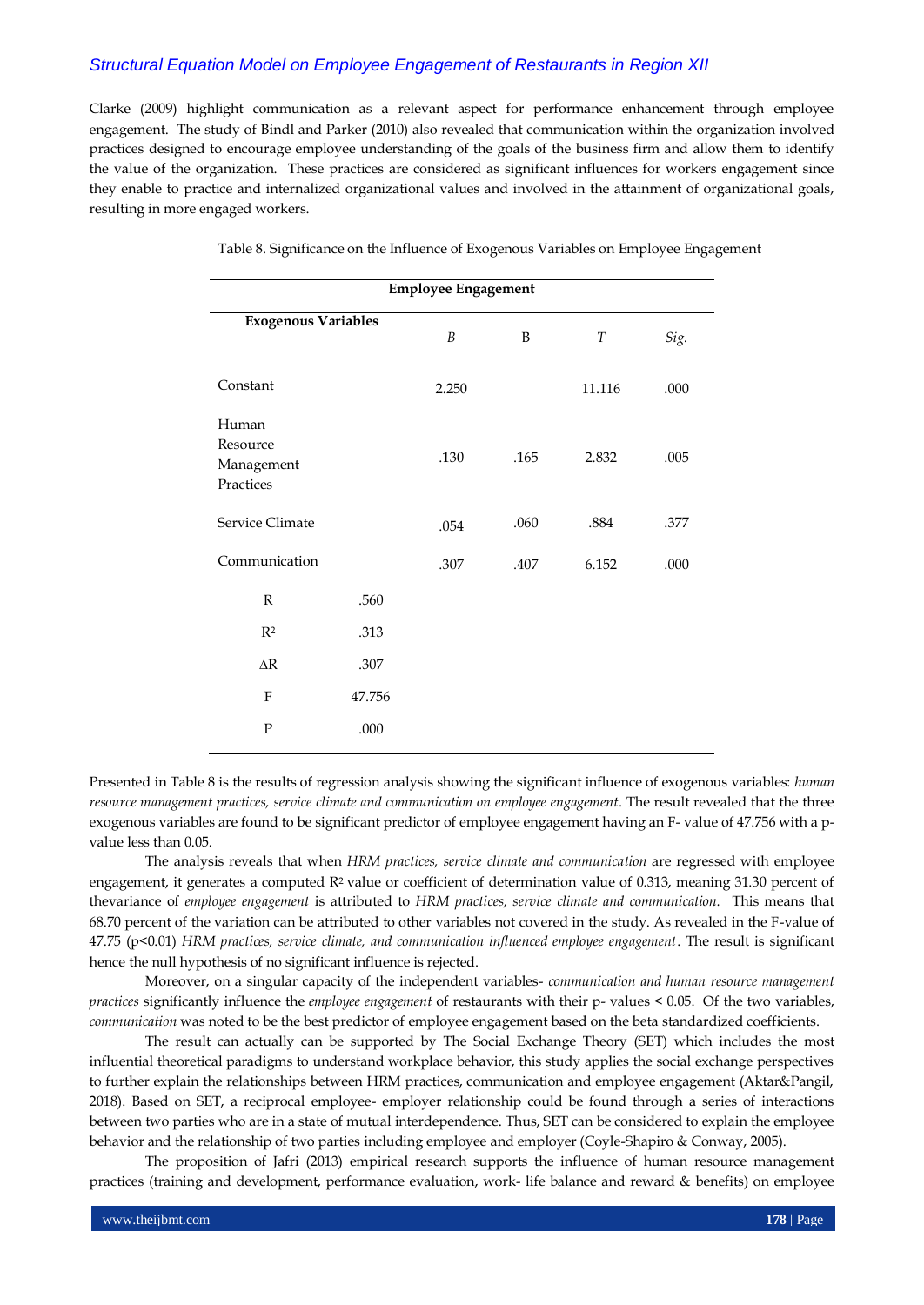Clarke (2009) highlight communication as a relevant aspect for performance enhancement through employee engagement. The study of Bindl and Parker (2010) also revealed that communication within the organization involved practices designed to encourage employee understanding of the goals of the business firm and allow them to identify the value of the organization. These practices are considered as significant influences for workers engagement since they enable to practice and internalized organizational values and involved in the attainment of organizational goals, resulting in more engaged workers.

| <b>Employee Engagement</b>                   |        |                  |             |                  |      |  |  |
|----------------------------------------------|--------|------------------|-------------|------------------|------|--|--|
| <b>Exogenous Variables</b>                   |        | $\boldsymbol{B}$ | $\mathbf B$ | $\boldsymbol{T}$ | Sig. |  |  |
| Constant                                     |        | 2.250            |             | 11.116           | .000 |  |  |
| Human<br>Resource<br>Management<br>Practices |        | .130             | .165        | 2.832            | .005 |  |  |
| Service Climate                              |        | .054             | .060        | .884             | .377 |  |  |
| Communication                                |        | .307             | .407        | 6.152            | .000 |  |  |
| $\mathbb{R}$                                 | .560   |                  |             |                  |      |  |  |
| $R^2$                                        | .313   |                  |             |                  |      |  |  |
| $\Delta \mathbf{R}$                          | .307   |                  |             |                  |      |  |  |
| F                                            | 47.756 |                  |             |                  |      |  |  |
| $\mathbf P$                                  | .000   |                  |             |                  |      |  |  |

Table 8. Significance on the Influence of Exogenous Variables on Employee Engagement

Presented in Table 8 is the results of regression analysis showing the significant influence of exogenous variables: *human resource management practices, service climate and communication on employee engagement*. The result revealed that the three exogenous variables are found to be significant predictor of employee engagement having an F- value of 47.756 with a pvalue less than 0.05.

The analysis reveals that when *HRM practices, service climate and communication* are regressed with employee engagement, it generates a computed  $R<sup>2</sup>$  value or coefficient of determination value of 0.313, meaning 31.30 percent of thevariance of *employee engagement* is attributed to *HRM practices, service climate and communication.* This means that 68.70 percent of the variation can be attributed to other variables not covered in the study. As revealed in the F-value of 47.75 (p<0.01) *HRM practices, service climate, and communication influenced employee engagement*. The result is significant hence the null hypothesis of no significant influence is rejected.

Moreover, on a singular capacity of the independent variables- *communication and human resource management practices* significantly influence the *employee engagement* of restaurants with their p- values < 0.05. Of the two variables, *communication* was noted to be the best predictor of employee engagement based on the beta standardized coefficients.

The result can actually can be supported by The Social Exchange Theory (SET) which includes the most influential theoretical paradigms to understand workplace behavior, this study applies the social exchange perspectives to further explain the relationships between HRM practices, communication and employee engagement (Aktar&Pangil, 2018). Based on SET, a reciprocal employee- employer relationship could be found through a series of interactions between two parties who are in a state of mutual interdependence. Thus, SET can be considered to explain the employee behavior and the relationship of two parties including employee and employer (Coyle-Shapiro & Conway, 2005).

The proposition of Jafri (2013) empirical research supports the influence of human resource management practices (training and development, performance evaluation, work- life balance and reward & benefits) on employee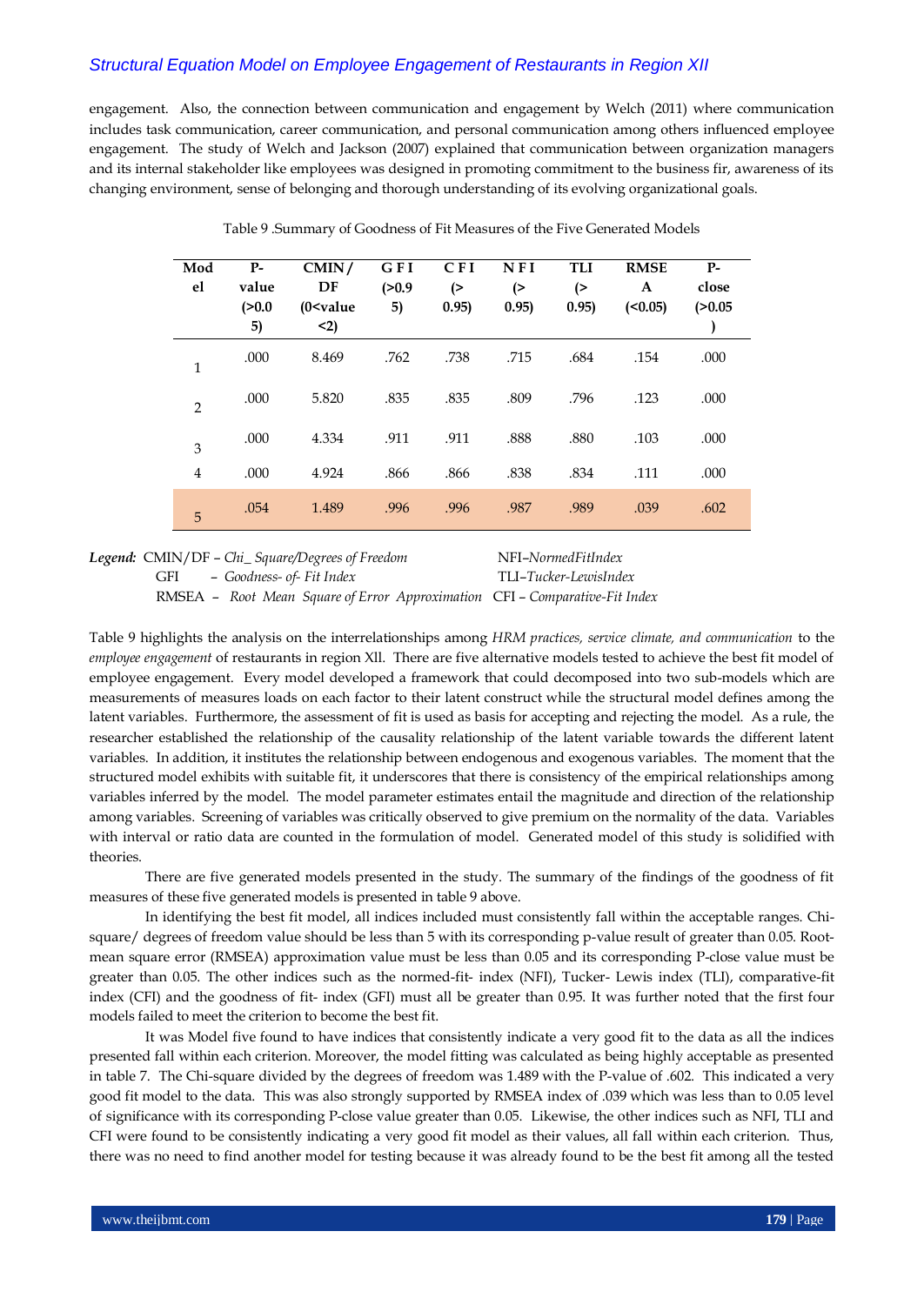engagement. Also, the connection between communication and engagement by Welch (2011) where communication includes task communication, career communication, and personal communication among others influenced employee engagement. The study of Welch and Jackson (2007) explained that communication between organization managers and its internal stakeholder like employees was designed in promoting commitment to the business fir, awareness of its changing environment, sense of belonging and thorough understanding of its evolving organizational goals.

| Mod<br>el      | $P-$<br>value | CMIN/<br>DF         | GFI<br>(>0.9) | <b>CFI</b><br>(> | N F I<br>(> | <b>TLI</b><br>( | <b>RMSE</b><br>A | $P-$<br>close |
|----------------|---------------|---------------------|---------------|------------------|-------------|-----------------|------------------|---------------|
|                | (>0.0)<br>5)  | $(0 <$ value<br>$2$ | 5)            | 0.95)            | 0.95)       | 0.95)           | $(0.05)$         | (>0.05)       |
| $\mathbf{1}$   | .000          | 8.469               | .762          | .738             | .715        | .684            | .154             | .000          |
| $\overline{2}$ | .000          | 5.820               | .835          | .835             | .809        | .796            | .123             | .000          |
| 3              | .000          | 4.334               | .911          | .911             | .888        | .880            | .103             | .000          |
| $\overline{4}$ | .000          | 4.924               | .866          | .866             | .838        | .834            | .111             | .000          |
| 5              | .054          | 1.489               | .996          | .996             | .987        | .989            | .039             | .602          |

Table 9 .Summary of Goodness of Fit Measures of the Five Generated Models

*Legend:* CMIN/DF – *Chi\_ Square/Degrees of Freedom* NFI–*NormedFitIndex* GFI – *Goodness- of- Fit Index* TLI–*Tucker-LewisIndex*

RMSEA – *Root Mean Square of Error Approximation* CFI – *Comparative-Fit Index*

Table 9 highlights the analysis on the interrelationships among *HRM practices, service climate, and communication* to the *employee engagement* of restaurants in region Xll. There are five alternative models tested to achieve the best fit model of employee engagement. Every model developed a framework that could decomposed into two sub-models which are measurements of measures loads on each factor to their latent construct while the structural model defines among the latent variables. Furthermore, the assessment of fit is used as basis for accepting and rejecting the model. As a rule, the researcher established the relationship of the causality relationship of the latent variable towards the different latent variables. In addition, it institutes the relationship between endogenous and exogenous variables. The moment that the structured model exhibits with suitable fit, it underscores that there is consistency of the empirical relationships among variables inferred by the model. The model parameter estimates entail the magnitude and direction of the relationship among variables. Screening of variables was critically observed to give premium on the normality of the data. Variables with interval or ratio data are counted in the formulation of model. Generated model of this study is solidified with theories.

There are five generated models presented in the study. The summary of the findings of the goodness of fit measures of these five generated models is presented in table 9 above.

In identifying the best fit model, all indices included must consistently fall within the acceptable ranges. Chisquare/ degrees of freedom value should be less than 5 with its corresponding p-value result of greater than 0.05. Rootmean square error (RMSEA) approximation value must be less than 0.05 and its corresponding P-close value must be greater than 0.05. The other indices such as the normed-fit- index (NFI), Tucker- Lewis index (TLI), comparative-fit index (CFI) and the goodness of fit- index (GFI) must all be greater than 0.95. It was further noted that the first four models failed to meet the criterion to become the best fit.

It was Model five found to have indices that consistently indicate a very good fit to the data as all the indices presented fall within each criterion. Moreover, the model fitting was calculated as being highly acceptable as presented in table 7. The Chi-square divided by the degrees of freedom was 1.489 with the P-value of .602. This indicated a very good fit model to the data. This was also strongly supported by RMSEA index of .039 which was less than to 0.05 level of significance with its corresponding P-close value greater than 0.05. Likewise, the other indices such as NFI, TLI and CFI were found to be consistently indicating a very good fit model as their values, all fall within each criterion. Thus, there was no need to find another model for testing because it was already found to be the best fit among all the tested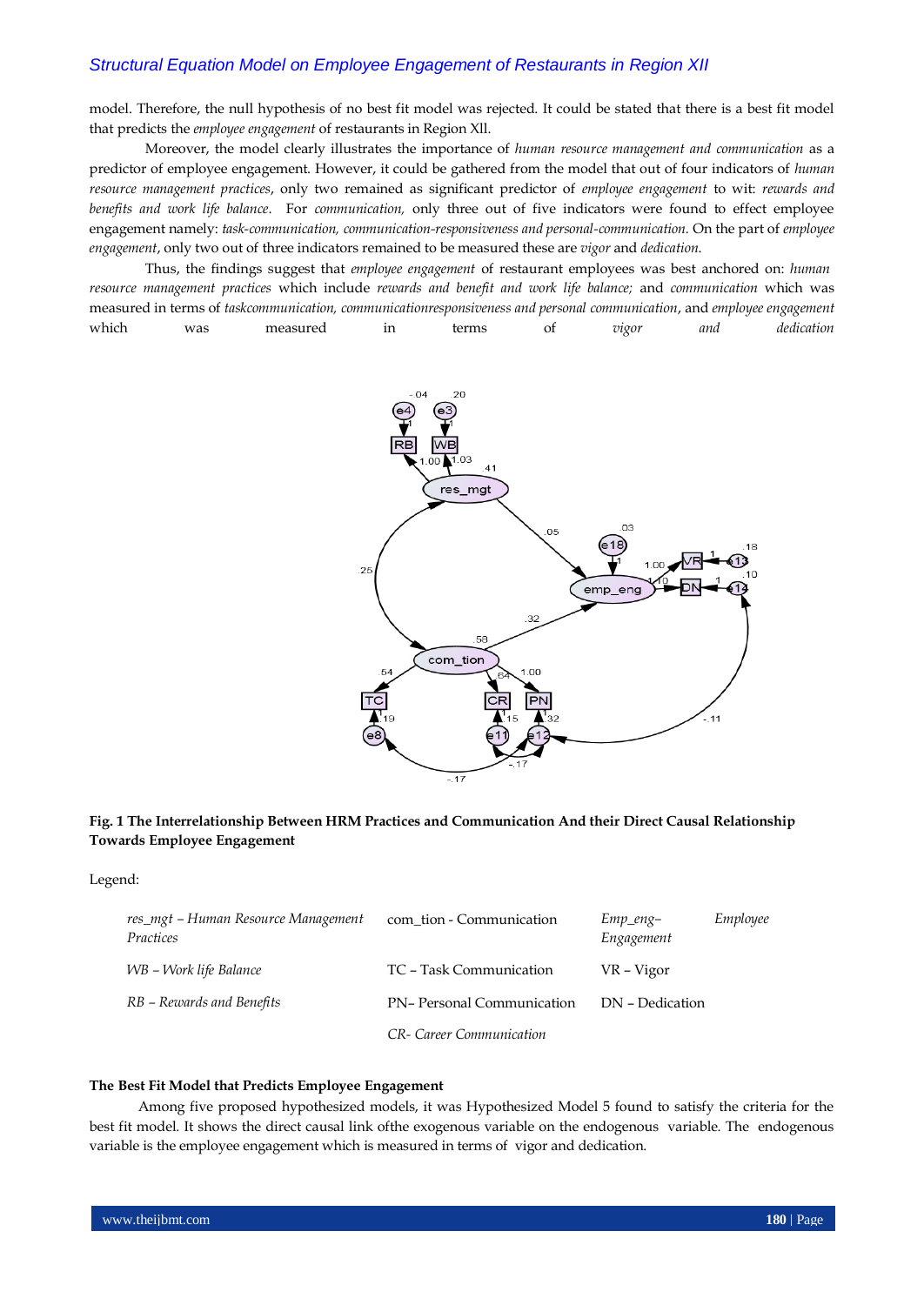model. Therefore, the null hypothesis of no best fit model was rejected. It could be stated that there is a best fit model that predicts the *employee engagement* of restaurants in Region Xll.

Moreover, the model clearly illustrates the importance of *human resource management and communication* as a predictor of employee engagement. However, it could be gathered from the model that out of four indicators of *human resource management practices*, only two remained as significant predictor of *employee engagement* to wit: *rewards and benefits and work life balance*. For *communication,* only three out of five indicators were found to effect employee engagement namely: *task-communication, communication-responsiveness and personal-communication.* On the part of *employee engagement*, only two out of three indicators remained to be measured these are *vigor* and *dedication*.

Thus, the findings suggest that *employee engagement* of restaurant employees was best anchored on: *humanresource management practices* which include *rewards and benefit and work life balance;* and *communication* which was measured in terms of *taskcommunication, communicationresponsiveness and personal communication*, and *employee engagement* which was measured in terms of *vigor and dedication*



### **Fig. 1 The Interrelationship Between HRM Practices and Communication And their Direct Causal Relationship Towards Employee Engagement**

Legend:

| res_mgt – Human Resource Management<br>Practices | com tion - Communication  | $Emp\_eng-$<br>Engagement | Employee |
|--------------------------------------------------|---------------------------|---------------------------|----------|
| WB – Work life Balance                           | TC – Task Communication   | VR – Vigor                |          |
| RB – Rewards and Benefits                        | PN-Personal Communication | DN - Dedication           |          |
|                                                  | CR- Career Communication  |                           |          |

#### **The Best Fit Model that Predicts Employee Engagement**

Among five proposed hypothesized models, it was Hypothesized Model 5 found to satisfy the criteria for the best fit model. It shows the direct causal link ofthe exogenous variable on the endogenous variable. The endogenous variable is the employee engagement which is measured in terms of vigor and dedication.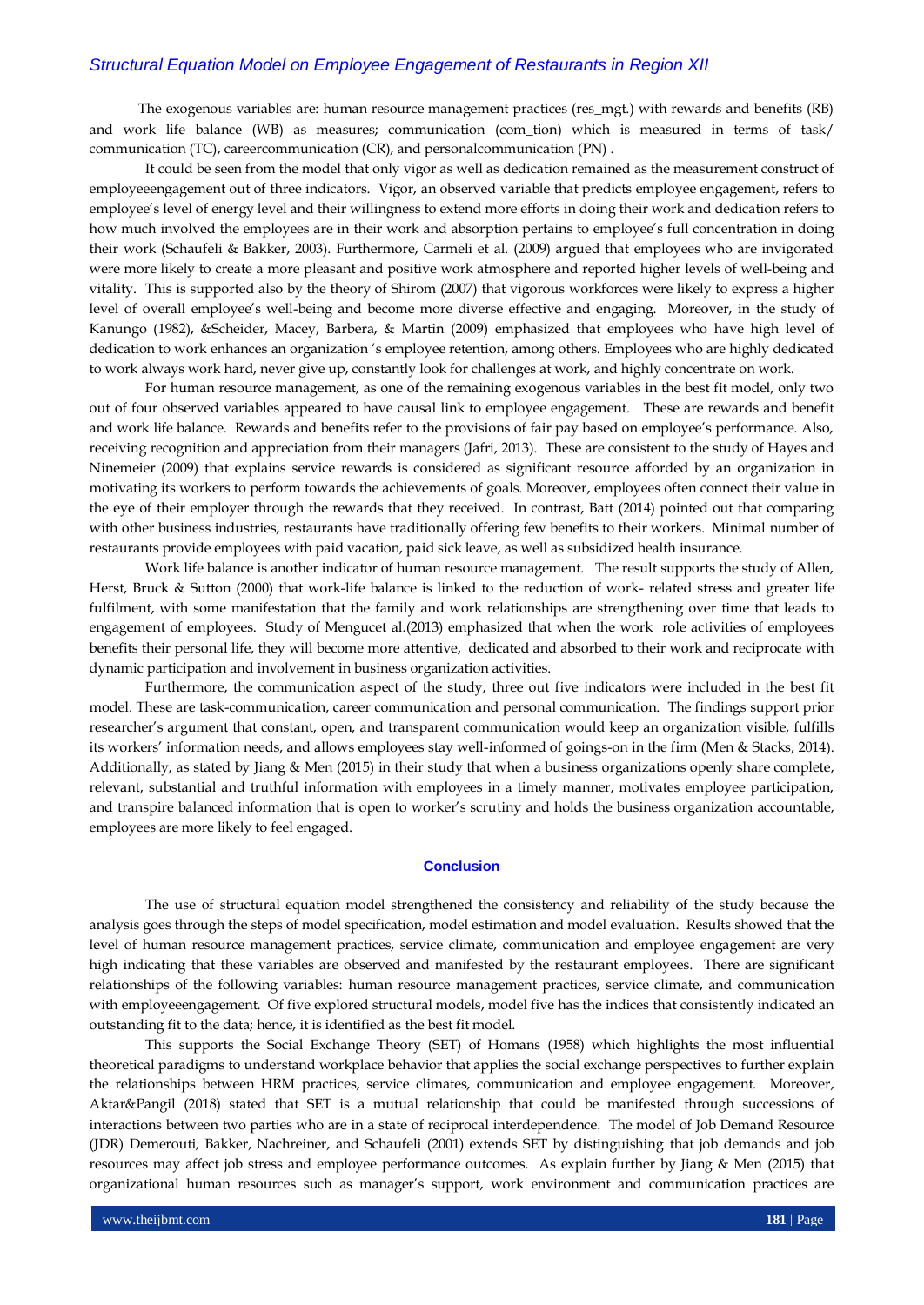The exogenous variables are: human resource management practices (res\_mgt.) with rewards and benefits (RB) and work life balance (WB) as measures; communication (com\_tion) which is measured in terms of task/ communication (TC), careercommunication (CR), and personalcommunication (PN) .

It could be seen from the model that only vigor as well as dedication remained as the measurement construct of employeeengagement out of three indicators. Vigor, an observed variable that predicts employee engagement, refers to employee's level of energy level and their willingness to extend more efforts in doing their work and dedication refers to how much involved the employees are in their work and absorption pertains to employee's full concentration in doing their work (Schaufeli & Bakker, 2003). Furthermore, Carmeli et al. (2009) argued that employees who are invigorated were more likely to create a more pleasant and positive work atmosphere and reported higher levels of well-being and vitality. This is supported also by the theory of Shirom (2007) that vigorous workforces were likely to express a higher level of overall employee's well-being and become more diverse effective and engaging. Moreover, in the study of Kanungo (1982), &Scheider, Macey, Barbera, & Martin (2009) emphasized that employees who have high level of dedication to work enhances an organization 's employee retention, among others. Employees who are highly dedicated to work always work hard, never give up, constantly look for challenges at work, and highly concentrate on work.

For human resource management, as one of the remaining exogenous variables in the best fit model, only two out of four observed variables appeared to have causal link to employee engagement. These are rewards and benefit and work life balance. Rewards and benefits refer to the provisions of fair pay based on employee's performance. Also, receiving recognition and appreciation from their managers (Jafri, 2013). These are consistent to the study of Hayes and Ninemeier (2009) that explains service rewards is considered as significant resource afforded by an organization in motivating its workers to perform towards the achievements of goals. Moreover, employees often connect their value in the eye of their employer through the rewards that they received. In contrast, Batt (2014) pointed out that comparing with other business industries, restaurants have traditionally offering few benefits to their workers. Minimal number of restaurants provide employees with paid vacation, paid sick leave, as well as subsidized health insurance.

Work life balance is another indicator of human resource management. The result supports the study of Allen, Herst, Bruck & Sutton (2000) that work-life balance is linked to the reduction of work- related stress and greater life fulfilment, with some manifestation that the family and work relationships are strengthening over time that leads to engagement of employees. Study of Mengucet al.(2013) emphasized that when the work role activities of employees benefits their personal life, they will become more attentive, dedicated and absorbed to their work and reciprocate with dynamic participation and involvement in business organization activities.

Furthermore, the communication aspect of the study, three out five indicators were included in the best fit model. These are task-communication, career communication and personal communication. The findings support prior researcher's argument that constant, open, and transparent communication would keep an organization visible, fulfills its workers' information needs, and allows employees stay well-informed of goings-on in the firm (Men & Stacks, 2014). Additionally, as stated by Jiang & Men (2015) in their study that when a business organizations openly share complete, relevant, substantial and truthful information with employees in a timely manner, motivates employee participation, and transpire balanced information that is open to worker's scrutiny and holds the business organization accountable, employees are more likely to feel engaged.

#### **Conclusion**

The use of structural equation model strengthened the consistency and reliability of the study because the analysis goes through the steps of model specification, model estimation and model evaluation. Results showed that the level of human resource management practices, service climate, communication and employee engagement are very high indicating that these variables are observed and manifested by the restaurant employees. There are significant relationships of the following variables: human resource management practices, service climate, and communication with employeeengagement. Of five explored structural models, model five has the indices that consistently indicated an outstanding fit to the data; hence, it is identified as the best fit model.

This supports the Social Exchange Theory (SET) of Homans (1958) which highlights the most influential theoretical paradigms to understand workplace behavior that applies the social exchange perspectives to further explain the relationships between HRM practices, service climates, communication and employee engagement. Moreover, Aktar&Pangil (2018) stated that SET is a mutual relationship that could be manifested through successions of interactions between two parties who are in a state of reciprocal interdependence. The model of Job Demand Resource (JDR) Demerouti, Bakker, Nachreiner, and Schaufeli (2001) extends SET by distinguishing that job demands and job resources may affect job stress and employee performance outcomes. As explain further by Jiang & Men (2015) that organizational human resources such as manager's support, work environment and communication practices are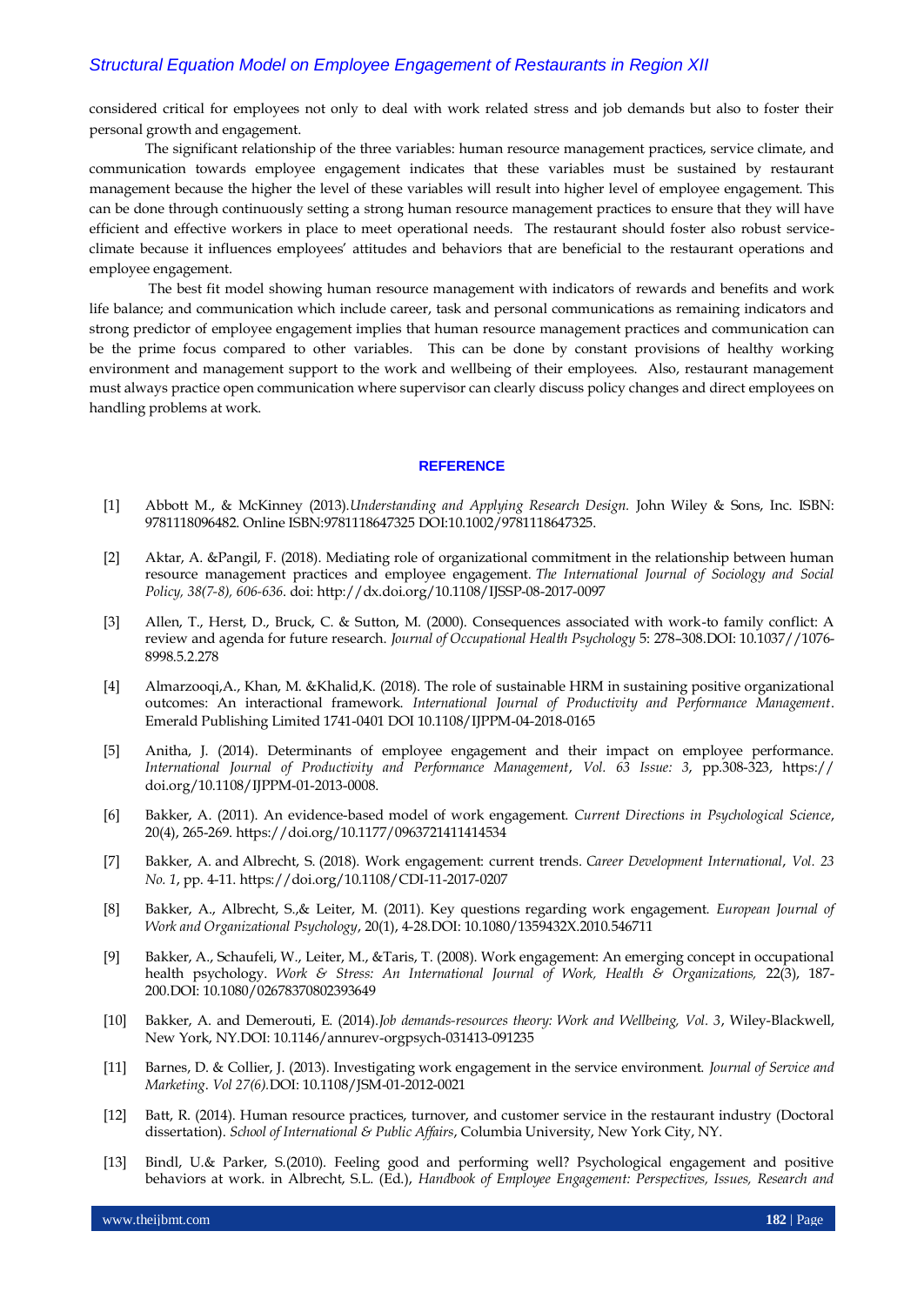considered critical for employees not only to deal with work related stress and job demands but also to foster their personal growth and engagement.

The significant relationship of the three variables: human resource management practices, service climate, and communication towards employee engagement indicates that these variables must be sustained by restaurant management because the higher the level of these variables will result into higher level of employee engagement. This can be done through continuously setting a strong human resource management practices to ensure that they will have efficient and effective workers in place to meet operational needs. The restaurant should foster also robust serviceclimate because it influences employees' attitudes and behaviors that are beneficial to the restaurant operations and employee engagement.

The best fit model showing human resource management with indicators of rewards and benefits and work life balance; and communication which include career, task and personal communications as remaining indicators and strong predictor of employee engagement implies that human resource management practices and communication can be the prime focus compared to other variables. This can be done by constant provisions of healthy working environment and management support to the work and wellbeing of their employees. Also, restaurant management must always practice open communication where supervisor can clearly discuss policy changes and direct employees on handling problems at work.

#### **REFERENCE**

- [1] Abbott M., & McKinney (2013).*Understanding and Applying Research Design.* John Wiley & Sons, Inc. ISBN: 9781118096482. Online ISBN:9781118647325 DOI:10.1002/9781118647325.
- [2] Aktar, A. &Pangil, F. (2018). Mediating role of organizational commitment in the relationship between human resource management practices and employee engagement*. The International Journal of Sociology and Social Policy, 38(7-8), 606-636*. doi: http://dx.doi.org/10.1108/IJSSP-08-2017-0097
- [3] Allen, T., Herst, D., Bruck, C. & Sutton, M. (2000). Consequences associated with work-to family conflict: A review and agenda for future research. *Journal of Occupational Health Psychology* 5: 278–308.DOI: [10.1037//1076-](https://www.researchgate.net/deref/http%3A%2F%2Fdx.doi.org%2F10.1037%2F%2F1076-8998.5.2.278) [8998.5.2.278](https://www.researchgate.net/deref/http%3A%2F%2Fdx.doi.org%2F10.1037%2F%2F1076-8998.5.2.278)
- [4] Almarzooqi,A., Khan, M. &Khalid,K. (2018). The role of sustainable HRM in sustaining positive organizational outcomes: An interactional framework. *International Journal of Productivity and Performance Management*. Emerald Publishing Limited 1741-0401 DOI 10.1108/IJPPM-04-2018-0165
- [5] Anitha, J. (2014). Determinants of employee engagement and their impact on employee performance. *International Journal of Productivity and Performance Management*, *Vol. 63 Issue: 3*, pp.308-323, https:// doi.org/10.1108/IJPPM-01-2013-0008.
- [6] Bakker, A. (2011). An evidence-based model of work engagement. *Current Directions in Psychological Science*, 20(4), 265-269.<https://doi.org/10.1177/0963721411414534>
- [7] [Bakker, A.](https://www.emerald.com/insight/search?q=Arnold%20B.%20Bakker) and [Albrecht, S.](https://www.emerald.com/insight/search?q=Simon%20Albrecht) (2018). Work engagement: current trends. *[Career Development International](https://www.emerald.com/insight/publication/issn/1362-0436)*, *Vol. 23 No. 1*, pp. 4-11. <https://doi.org/10.1108/CDI-11-2017-0207>
- [8] Bakker, A., Albrecht, S.,& Leiter, M. (2011). Key questions regarding work engagement. *European Journal of Work and Organizational Psychology*, 20(1), 4-28.DOI: [10.1080/1359432X.2010.546711](https://www.researchgate.net/deref/http%3A%2F%2Fdx.doi.org%2F10.1080%2F1359432X.2010.546711)
- [9] Bakker, A., Schaufeli, W., Leiter, M., &Taris, T. (2008). Work engagement: An emerging concept in occupational health psychology. *Work & Stress: An International Journal of Work, Health & Organizations,* 22(3), 187- 200.DOI: [10.1080/02678370802393649](https://www.researchgate.net/deref/http%3A%2F%2Fdx.doi.org%2F10.1080%2F02678370802393649)
- [10] Bakker, A. and Demerouti, E. (2014).*Job demands-resources theory: Work and Wellbeing, Vol. 3*, Wiley-Blackwell, New York, NY.DOI: 10.1146/annurev-orgpsych-031413-091235
- [11] Barnes, D. & Collier, J. (2013). Investigating work engagement in the service environment. *Journal of Service and Marketing*. *Vol 27(6).*DOI: 10.1108/JSM-01-2012-0021
- [12] Batt, R. (2014). Human resource practices, turnover, and customer service in the restaurant industry (Doctoral dissertation). *School of International & Public Affairs*, Columbia University, New York City, NY.
- [13] Bindl, U.& Parker, S.(2010). Feeling good and performing well? Psychological engagement and positive behaviors at work. in Albrecht, S.L. (Ed.), *Handbook of Employee Engagement: Perspectives, Issues, Research and*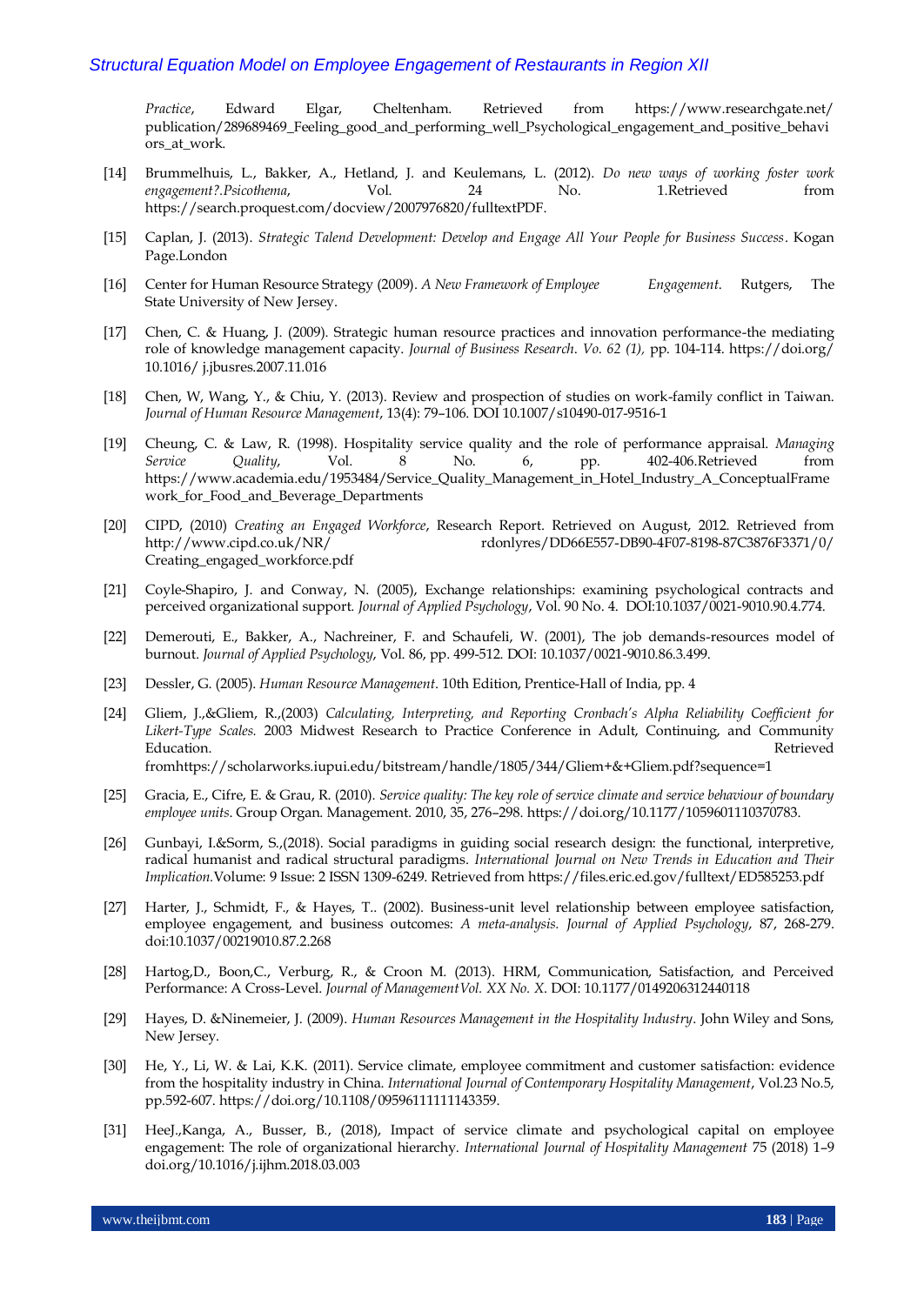*Practice*, Edward Elgar, Cheltenham. Retrieved from [https://www.researchgate.net/](https://www.researchgate.net/%20publication/289689469_Feeling_good_and_performing_well_Psychological_engagement_and_positive_behaviors_at_work)  [publication/289689469\\_Feeling\\_good\\_and\\_performing\\_well\\_Psychological\\_engagement\\_and\\_positive\\_behavi](https://www.researchgate.net/%20publication/289689469_Feeling_good_and_performing_well_Psychological_engagement_and_positive_behaviors_at_work) [ors\\_at\\_work.](https://www.researchgate.net/%20publication/289689469_Feeling_good_and_performing_well_Psychological_engagement_and_positive_behaviors_at_work)

- [14] Brummelhuis, L., Bakker, A., Hetland, J. and Keulemans, L. (2012). *Do new ways of working foster work engagement?.Psicothema*, Vol. 24 No. 1.Retrieved from [https://search.proquest.com/docview/2007976820/fulltextPDF.](https://search.proquest.com/docview/2007976820/fulltextPDF)
- [15] Caplan, J. (2013). *Strategic Talend Development: Develop and Engage All Your People for Business Success*. Kogan Page.London
- [16] Center for Human Resource Strategy (2009). *A New Framework of Employee Engagement*. Rutgers, The State University of New Jersey.
- [17] Chen, C. & Huang, J. (2009). Strategic human resource practices and innovation performance-the mediating role of knowledge management capacity. *Journal of Business Research*. *Vo. 62 (1),* pp. 104-114.<https://doi.org/> 10.1016/ j.jbusres.2007.11.016
- [18] Chen, W, Wang, Y., & Chiu, Y. (2013). Review and prospection of studies on work-family conflict in Taiwan. *Journal of Human Resource Management*, 13(4): 79–106. DOI 10.1007/s10490-017-9516-1
- [19] Cheung, C. & Law, R. (1998). Hospitality service quality and the role of performance appraisal. *Managing Service Quality*, Vol. 8 No. 6, pp. 402-406.Retrieved from [https://www.academia.edu/1953484/Service\\_Quality\\_Management\\_in\\_Hotel\\_Industry\\_A\\_ConceptualFrame](https://www.academia.edu/1953484/Service_Quality_Management_in_Hotel_Industry_A_ConceptualFramework_for_Food_and_Beverage_Departments) [work\\_for\\_Food\\_and\\_Beverage\\_Departments](https://www.academia.edu/1953484/Service_Quality_Management_in_Hotel_Industry_A_ConceptualFramework_for_Food_and_Beverage_Departments)
- [20] CIPD, (2010) *Creating an Engaged Workforce*, Research Report. Retrieved on August, 2012. Retrieved from http://www.cipd.co.uk/NR/ rdonlyres/DD66E557-DB90-4F07-8198-87C3876F3371/0/ Creating\_engaged\_workforce.pdf
- [21] Coyle-Shapiro, J. and Conway, N. (2005), Exchange relationships: examining psychological contracts and perceived organizational support. *Journal of Applied Psychology*, Vol. 90 No. 4. DOI:10.1037/0021-9010.90.4.774.
- [22] Demerouti, E., Bakker, A., Nachreiner, F. and Schaufeli, W. (2001), The job demands-resources model of burnout. *Journal of Applied Psychology*, Vol. 86, pp. 499-512. DOI: 10.1037/0021-9010.86.3.499.
- [23] Dessler, G. (2005). *Human Resource Management*. 10th Edition, Prentice-Hall of India, pp. 4
- [24] Gliem, J.,&Gliem, R.,(2003) *Calculating, Interpreting, and Reporting Cronbach's Alpha Reliability Coefficient for Likert-Type Scales.* 2003 Midwest Research to Practice Conference in Adult, Continuing, and Community Education. Retrieved fro[mhttps://scholarworks.iupui.edu/bitstream/handle/1805/344/Gliem+&+Gliem.pdf?sequence=1](https://scholarworks.iupui.edu/bitstream/handle/1805/344/Gliem+&+Gliem.pdf?sequence=1)
- [25] Gracia, E., Cifre, E. & Grau, R. (2010). *Service quality: The key role of service climate and service behaviour of boundary employee units*. Group Organ. Management. 2010, 35, 276–298[. https://doi.org/10.1177/1059601110370783.](https://doi.org/10.1177/1059601110370783)
- [26] Gunbayi, I.&Sorm, S.,(2018). Social paradigms in guiding social research design: the functional, interpretive, radical humanist and radical structural paradigms. *International Journal on New Trends in Education and Their Implication.*Volume: 9 Issue: 2 ISSN 1309-6249. Retrieved fro[m https://files.eric.ed.gov/fulltext/ED585253.pdf](https://files.eric.ed.gov/fulltext/ED585253.pdf)
- [27] Harter, J., Schmidt, F., & Hayes, T.. (2002). Business-unit level relationship between employee satisfaction, employee engagement, and business outcomes: *A meta-analysis. Journal of Applied Psychology*, 87, 268-279. doi:10.1037/00219010.87.2.268
- [28] Hartog,D., Boon,C., Verburg, R., & Croon M. (2013). HRM, Communication, Satisfaction, and Perceived Performance: A Cross-Level. *Journal of ManagementVol. XX No. X*. DOI: 10.1177/0149206312440118
- [29] Hayes, D. &Ninemeier, J. (2009). *Human Resources Management in the Hospitality Industry*. John Wiley and Sons, New Jersey.
- [30] He, Y., Li, W. & Lai, K.K. (2011). Service climate, employee commitment and customer satisfaction: evidence from the hospitality industry in China. *International Journal of Contemporary Hospitality Management*, Vol.23 No.5, pp.592-607. https://doi.org/10.1108/09596111111143359.
- [31] HeeJ.,Kanga, A., Busser, B., (2018), Impact of service climate and psychological capital on employee engagement: The role of organizational hierarchy. *International Journal of Hospitality Management* 75 (2018) 1–9 doi.org/10.1016/j.ijhm.2018.03.003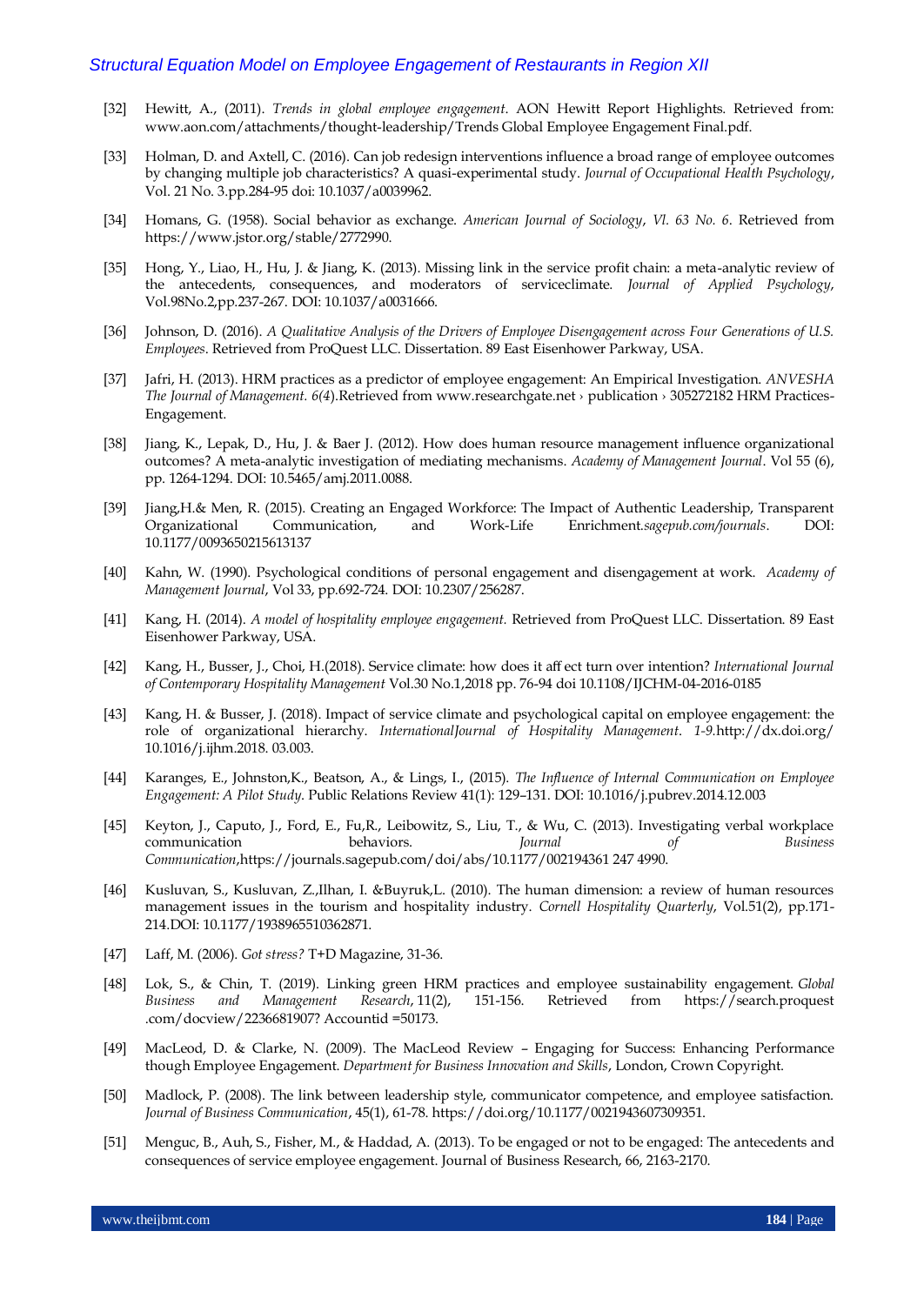- [32] Hewitt, A., (2011). *Trends in global employee engagement*. AON Hewitt Report Highlights. Retrieved from: [www.aon.com/attachments/thought-leadership/Trends](http://www.aon.com/attachments/thought-leadership/Trends) Global Employee Engagement Final.pdf.
- [33] Holman, D. and Axtell, C. (2016). Can job redesign interventions influence a broad range of employee outcomes by changing multiple job characteristics? A quasi-experimental study. *Journal of Occupational Health Psychology*, Vol. 21 No. 3.pp.284-95 doi: 10.1037/a0039962.
- [34] Homans, G. (1958). Social behavior as exchange. *American Journal of Sociology*, *Vl. 63 No. 6*. Retrieved from https://www.jstor.org/stable/2772990.
- [35] Hong, Y., Liao, H., Hu, J. & Jiang, K. (2013). Missing link in the service profit chain: a meta-analytic review of the antecedents, consequences, and moderators of serviceclimate. *Journal of Applied Psychology*, Vol.98No.2,pp.237-267. DOI: 10.1037/a0031666.
- [36] Johnson, D. (2016). *A Qualitative Analysis of the Drivers of Employee Disengagement across Four Generations of U.S. Employees*. Retrieved from ProQuest LLC. Dissertation. 89 East Eisenhower Parkway, USA.
- [37] Jafri, H. (2013). HRM practices as a predictor of employee engagement: An Empirical Investigation. *ANVESHA The Journal of Management. 6(4*).Retrieved from www.researchgate.net › publication › 305272182 HRM Practices-Engagement.
- [38] Jiang, K., Lepak, D., Hu, J. & Baer J. (2012). How does human resource management influence organizational outcomes? A meta-analytic investigation of mediating mechanisms. *Academy of Management Journal*. Vol 55 (6), pp. 1264-1294. DOI: 10.5465/amj.2011.0088.
- [39] Jiang,H.& Men, R. (2015). Creating an Engaged Workforce: The Impact of Authentic Leadership, Transparent Organizational Communication, and Work-Life Enrichment.*sagepub.com/journals*. DOI: 10.1177/0093650215613137
- [40] Kahn, W. (1990). Psychological conditions of personal engagement and disengagement at work. *Academy of Management Journal*, Vol 33, pp.692-724. DOI: 10.2307/256287.
- [41] Kang, H. (2014). *A model of hospitality employee engagement.* Retrieved from ProQuest LLC. Dissertation. 89 East Eisenhower Parkway, USA.
- [42] Kang, H., Busser, J., Choi, H.(2018). Service climate: how does it aff ect turn over intention? *International Journal of Contemporary Hospitality Management* Vol.30 No.1,2018 pp. 76-94 doi 10.1108/IJCHM-04-2016-0185
- [43] Kang, H. & Busser, J. (2018). Impact of service climate and psychological capital on employee engagement: the role of organizational hierarchy. *InternationalJournal of Hospitality Management*. *1-9.*[http://dx.doi.org/](http://dx.doi.org/%2010.1016/j.ijhm.2018.%2003.003) [10.1016/j.ijhm.2018.](http://dx.doi.org/%2010.1016/j.ijhm.2018.%2003.003) 03.003.
- [44] Karanges, E., Johnston,K., Beatson, A., & Lings, I., (2015). *The Influence of Internal Communication on Employee Engagement: A Pilot Study*. Public Relations Review 41(1): 129–131. DOI: 10.1016/j.pubrev.2014.12.003
- [45] Keyton, J., Caputo, J., Ford, E., Fu,R., Leibowitz, S., Liu, T., & Wu, C. (2013). Investigating verbal workplace communication behaviors. *Journal of Business Communication*,https://journals.sagepub.com/doi/abs/10.1177/002194361 247 4990.
- [46] Kusluvan, S., Kusluvan, Z.,Ilhan, I. &Buyruk,L. (2010). The human dimension: a review of human resources management issues in the tourism and hospitality industry. *Cornell Hospitality Quarterly*, Vol.51(2), pp.171- 214.DOI: 10.1177/1938965510362871.
- [47] Laff, M. (2006). *Got stress?* T+D Magazine, 31-36.
- [48] Lok, S., & Chin, T. (2019). Linking green HRM practices and employee sustainability engagement. *Global Business and Management Research*, 11(2), 151-156. Retrieved from https://search.proquest .com/docview/2236681907? Accountid =50173.
- [49] MacLeod, D. & Clarke, N. (2009). The MacLeod Review Engaging for Success: Enhancing Performance though Employee Engagement. *Department for Business Innovation and Skills*, London, Crown Copyright.
- [50] Madlock, P. (2008). The link between leadership style, communicator competence, and employee satisfaction. *Journal of Business Communication*, 45(1), 61-78. https://doi.org/10.1177/0021943607309351.
- [51] Menguc, B., Auh, S., Fisher, M., & Haddad, A. (2013). To be engaged or not to be engaged: The antecedents and consequences of service employee engagement. Journal of Business Research, 66, 2163-2170.